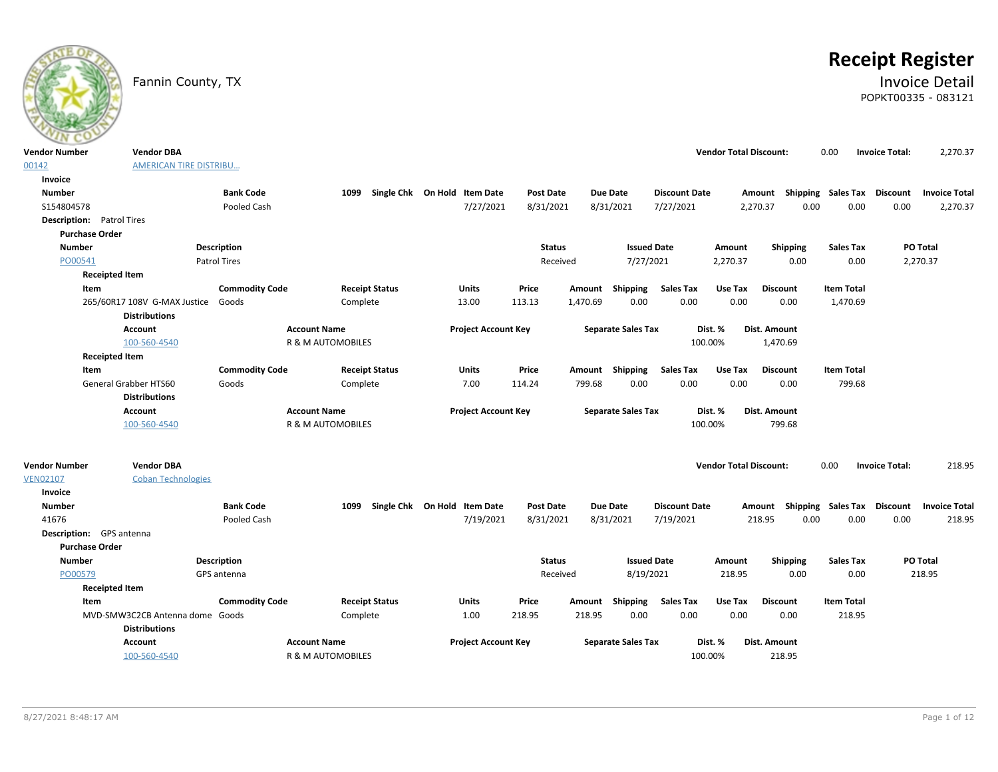

# **Receipt Register**

# Fannin County, TX **Invoice Detail** POPKT00335 - 083121

| <b>Vendor Number</b> | <b>Vendor DBA</b>                                    |                       |                              |                              |                  |                           |                      | <b>Vendor Total Discount:</b> |                                    | 0.00                      | <b>Invoice Total:</b> | 2,270.37             |
|----------------------|------------------------------------------------------|-----------------------|------------------------------|------------------------------|------------------|---------------------------|----------------------|-------------------------------|------------------------------------|---------------------------|-----------------------|----------------------|
| 00142                | AMERICAN TIRE DISTRIBU                               |                       |                              |                              |                  |                           |                      |                               |                                    |                           |                       |                      |
| Invoice              |                                                      |                       |                              |                              |                  |                           |                      |                               |                                    |                           |                       |                      |
| <b>Number</b>        |                                                      | <b>Bank Code</b>      | 1099                         | Single Chk On Hold Item Date | <b>Post Date</b> | <b>Due Date</b>           | <b>Discount Date</b> |                               | Amount Shipping Sales Tax Discount |                           |                       | <b>Invoice Total</b> |
| S154804578           |                                                      | Pooled Cash           |                              | 7/27/2021                    | 8/31/2021        | 8/31/2021                 | 7/27/2021            |                               | 2,270.37<br>0.00                   | 0.00                      | 0.00                  | 2,270.37             |
|                      | <b>Description:</b> Patrol Tires                     |                       |                              |                              |                  |                           |                      |                               |                                    |                           |                       |                      |
|                      | <b>Purchase Order</b>                                |                       |                              |                              |                  |                           |                      |                               |                                    |                           |                       |                      |
| <b>Number</b>        |                                                      | Description           |                              |                              | <b>Status</b>    |                           | <b>Issued Date</b>   | Amount                        | Shipping                           | <b>Sales Tax</b>          |                       | <b>PO Total</b>      |
| PO00541              |                                                      | <b>Patrol Tires</b>   |                              |                              | Received         |                           | 7/27/2021            | 2,270.37                      | 0.00                               | 0.00                      |                       | 2,270.37             |
|                      | <b>Receipted Item</b>                                |                       |                              |                              |                  |                           |                      |                               |                                    |                           |                       |                      |
|                      | Item                                                 | <b>Commodity Code</b> | <b>Receipt Status</b>        | <b>Units</b>                 | Price            | Amount Shipping           | <b>Sales Tax</b>     | Use Tax                       | <b>Discount</b>                    | <b>Item Total</b>         |                       |                      |
|                      | 265/60R17 108V G-MAX Justice<br><b>Distributions</b> | Goods                 | Complete                     | 13.00                        | 113.13           | 1,470.69<br>0.00          | 0.00                 | 0.00                          | 0.00                               | 1,470.69                  |                       |                      |
|                      | Account                                              | <b>Account Name</b>   |                              | <b>Project Account Key</b>   |                  | <b>Separate Sales Tax</b> |                      | Dist. %                       | Dist. Amount                       |                           |                       |                      |
|                      | 100-560-4540                                         |                       | <b>R &amp; M AUTOMOBILES</b> |                              |                  |                           |                      | 100.00%                       | 1,470.69                           |                           |                       |                      |
|                      | <b>Receipted Item</b>                                |                       |                              |                              |                  |                           |                      |                               |                                    |                           |                       |                      |
|                      | Item                                                 | <b>Commodity Code</b> | <b>Receipt Status</b>        | <b>Units</b>                 | Price            | Amount Shipping           | <b>Sales Tax</b>     | Use Tax                       | <b>Discount</b>                    | <b>Item Total</b>         |                       |                      |
|                      | General Grabber HTS60                                | Goods                 | Complete                     | 7.00                         | 114.24           | 799.68<br>0.00            | 0.00                 | 0.00                          | 0.00                               | 799.68                    |                       |                      |
|                      | <b>Distributions</b>                                 |                       |                              |                              |                  |                           |                      |                               |                                    |                           |                       |                      |
|                      | Account                                              | <b>Account Name</b>   |                              | <b>Project Account Key</b>   |                  | <b>Separate Sales Tax</b> |                      | Dist. %                       | Dist. Amount                       |                           |                       |                      |
|                      | 100-560-4540                                         |                       | <b>R &amp; M AUTOMOBILES</b> |                              |                  |                           |                      | 100.00%                       | 799.68                             |                           |                       |                      |
|                      |                                                      |                       |                              |                              |                  |                           |                      |                               |                                    |                           |                       |                      |
| <b>Vendor Number</b> | <b>Vendor DBA</b>                                    |                       |                              |                              |                  |                           |                      | <b>Vendor Total Discount:</b> |                                    | 0.00                      | <b>Invoice Total:</b> | 218.95               |
| <b>VEN02107</b>      | <b>Coban Technologies</b>                            |                       |                              |                              |                  |                           |                      |                               |                                    |                           |                       |                      |
| Invoice              |                                                      |                       |                              |                              |                  |                           |                      |                               |                                    |                           |                       |                      |
| <b>Number</b>        |                                                      | <b>Bank Code</b>      | 1099                         | Single Chk On Hold Item Date | <b>Post Date</b> | <b>Due Date</b>           | <b>Discount Date</b> |                               | Amount                             | <b>Shipping Sales Tax</b> | <b>Discount</b>       | <b>Invoice Total</b> |
| 41676                |                                                      | Pooled Cash           |                              | 7/19/2021                    | 8/31/2021        | 8/31/2021                 | 7/19/2021            |                               | 0.00<br>218.95                     | 0.00                      | 0.00                  | 218.95               |
|                      | Description: GPS antenna                             |                       |                              |                              |                  |                           |                      |                               |                                    |                           |                       |                      |
|                      | <b>Purchase Order</b>                                |                       |                              |                              |                  |                           |                      |                               |                                    |                           |                       |                      |
| <b>Number</b>        |                                                      | <b>Description</b>    |                              |                              | <b>Status</b>    |                           | <b>Issued Date</b>   | Amount                        | <b>Shipping</b>                    | <b>Sales Tax</b>          |                       | PO Total             |
| PO00579              |                                                      | GPS antenna           |                              |                              | Received         |                           | 8/19/2021            | 218.95                        | 0.00                               | 0.00                      |                       | 218.95               |
|                      | <b>Receipted Item</b>                                |                       |                              |                              |                  |                           |                      |                               |                                    |                           |                       |                      |
|                      | Item                                                 | <b>Commodity Code</b> | <b>Receipt Status</b>        | Units                        | Price            | <b>Shipping</b><br>Amount | <b>Sales Tax</b>     | Use Tax                       | <b>Discount</b>                    | <b>Item Total</b>         |                       |                      |
|                      | MVD-SMW3C2CB Antenna dome                            | Goods                 | Complete                     | 1.00                         | 218.95           | 0.00<br>218.95            | 0.00                 | 0.00                          | 0.00                               | 218.95                    |                       |                      |
|                      | <b>Distributions</b>                                 |                       |                              |                              |                  |                           |                      |                               |                                    |                           |                       |                      |
|                      |                                                      |                       |                              |                              |                  |                           |                      |                               |                                    |                           |                       |                      |
|                      | Account<br>100-560-4540                              | <b>Account Name</b>   | R & M AUTOMOBILES            | <b>Project Account Key</b>   |                  | <b>Separate Sales Tax</b> |                      | Dist. %<br>100.00%            | Dist. Amount<br>218.95             |                           |                       |                      |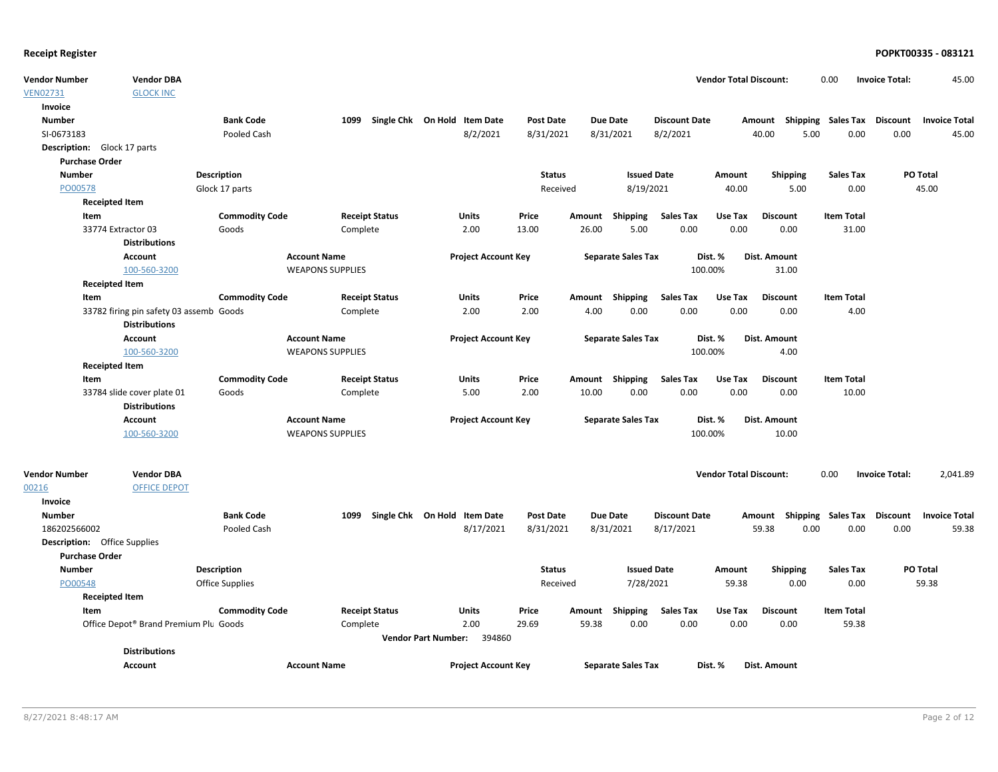| <b>Vendor Number</b>  | <b>Vendor DBA</b>                       |                       |                         |                       |                              |                  |       |                           |                      | <b>Vendor Total Discount:</b> |                     | 0.00                        | <b>Invoice Total:</b> | 45.00                |
|-----------------------|-----------------------------------------|-----------------------|-------------------------|-----------------------|------------------------------|------------------|-------|---------------------------|----------------------|-------------------------------|---------------------|-----------------------------|-----------------------|----------------------|
| <b>VEN02731</b>       | <b>GLOCK INC</b>                        |                       |                         |                       |                              |                  |       |                           |                      |                               |                     |                             |                       |                      |
| Invoice               |                                         |                       |                         |                       |                              |                  |       |                           |                      |                               |                     |                             |                       |                      |
| <b>Number</b>         |                                         | <b>Bank Code</b>      | 1099                    |                       | Single Chk On Hold Item Date | <b>Post Date</b> |       | <b>Due Date</b>           | <b>Discount Date</b> |                               | Amount              | Shipping Sales Tax Discount |                       | <b>Invoice Total</b> |
| SI-0673183            |                                         | Pooled Cash           |                         |                       | 8/2/2021                     | 8/31/2021        |       | 8/31/2021                 | 8/2/2021             |                               | 5.00<br>40.00       | 0.00                        | 0.00                  | 45.00                |
|                       | <b>Description:</b> Glock 17 parts      |                       |                         |                       |                              |                  |       |                           |                      |                               |                     |                             |                       |                      |
| <b>Purchase Order</b> |                                         |                       |                         |                       |                              |                  |       |                           |                      |                               |                     |                             |                       |                      |
| <b>Number</b>         |                                         | <b>Description</b>    |                         |                       |                              | <b>Status</b>    |       | <b>Issued Date</b>        |                      | Amount                        | Shipping            | <b>Sales Tax</b>            |                       | PO Total             |
| PO00578               |                                         | Glock 17 parts        |                         |                       |                              | Received         |       | 8/19/2021                 |                      | 40.00                         | 5.00                | 0.00                        |                       | 45.00                |
|                       | <b>Receipted Item</b>                   |                       |                         |                       |                              |                  |       |                           |                      |                               |                     |                             |                       |                      |
| Item                  |                                         | <b>Commodity Code</b> |                         | <b>Receipt Status</b> | Units                        | Price            |       | Amount Shipping           | Sales Tax            | Use Tax                       | <b>Discount</b>     | <b>Item Total</b>           |                       |                      |
|                       | 33774 Extractor 03                      | Goods                 | Complete                |                       | 2.00                         | 13.00            | 26.00 | 5.00                      | 0.00                 | 0.00                          | 0.00                | 31.00                       |                       |                      |
|                       | <b>Distributions</b>                    |                       |                         |                       |                              |                  |       |                           |                      |                               |                     |                             |                       |                      |
|                       | <b>Account</b>                          |                       | <b>Account Name</b>     |                       | <b>Project Account Key</b>   |                  |       | <b>Separate Sales Tax</b> |                      | Dist. %                       | Dist. Amount        |                             |                       |                      |
|                       | 100-560-3200                            |                       | <b>WEAPONS SUPPLIES</b> |                       |                              |                  |       |                           | 100.00%              |                               | 31.00               |                             |                       |                      |
|                       | <b>Receipted Item</b>                   |                       |                         |                       |                              |                  |       |                           |                      |                               |                     |                             |                       |                      |
| Item                  |                                         | <b>Commodity Code</b> |                         | <b>Receipt Status</b> | <b>Units</b>                 | Price            |       | Amount Shipping           | Sales Tax            | Use Tax                       | <b>Discount</b>     | <b>Item Total</b>           |                       |                      |
|                       | 33782 firing pin safety 03 assemb Goods |                       | Complete                |                       | 2.00                         | 2.00             | 4.00  | 0.00                      | 0.00                 | 0.00                          | 0.00                | 4.00                        |                       |                      |
|                       | <b>Distributions</b>                    |                       |                         |                       |                              |                  |       |                           |                      |                               |                     |                             |                       |                      |
|                       | Account                                 |                       | <b>Account Name</b>     |                       | <b>Project Account Key</b>   |                  |       | <b>Separate Sales Tax</b> |                      | Dist. %                       | Dist. Amount        |                             |                       |                      |
|                       | 100-560-3200                            |                       | <b>WEAPONS SUPPLIES</b> |                       |                              |                  |       |                           | 100.00%              |                               | 4.00                |                             |                       |                      |
|                       | <b>Receipted Item</b>                   |                       |                         |                       |                              |                  |       |                           |                      |                               |                     |                             |                       |                      |
| Item                  |                                         | <b>Commodity Code</b> |                         | <b>Receipt Status</b> | Units                        | Price            |       | Amount Shipping           | <b>Sales Tax</b>     | Use Tax                       | <b>Discount</b>     | <b>Item Total</b>           |                       |                      |
|                       | 33784 slide cover plate 01              | Goods                 | Complete                |                       | 5.00                         | 2.00             | 10.00 | 0.00                      | 0.00                 | 0.00                          | 0.00                | 10.00                       |                       |                      |
|                       | <b>Distributions</b>                    |                       |                         |                       |                              |                  |       |                           |                      |                               |                     |                             |                       |                      |
|                       | Account                                 |                       | <b>Account Name</b>     |                       | <b>Project Account Key</b>   |                  |       | <b>Separate Sales Tax</b> |                      | Dist. %                       | Dist. Amount        |                             |                       |                      |
|                       | 100-560-3200                            |                       | <b>WEAPONS SUPPLIES</b> |                       |                              |                  |       |                           | 100.00%              |                               | 10.00               |                             |                       |                      |
|                       |                                         |                       |                         |                       |                              |                  |       |                           |                      |                               |                     |                             |                       |                      |
| <b>Vendor Number</b>  | <b>Vendor DBA</b>                       |                       |                         |                       |                              |                  |       |                           |                      | <b>Vendor Total Discount:</b> |                     | 0.00                        | <b>Invoice Total:</b> | 2,041.89             |
| 00216                 | <b>OFFICE DEPOT</b>                     |                       |                         |                       |                              |                  |       |                           |                      |                               |                     |                             |                       |                      |
| Invoice               |                                         |                       |                         |                       |                              |                  |       |                           |                      |                               |                     |                             |                       |                      |
| <b>Number</b>         |                                         | <b>Bank Code</b>      | 1099                    |                       | Single Chk On Hold Item Date | <b>Post Date</b> |       | <b>Due Date</b>           | <b>Discount Date</b> |                               | Amount              | Shipping Sales Tax Discount |                       | <b>Invoice Total</b> |
| 186202566002          |                                         | Pooled Cash           |                         |                       | 8/17/2021                    | 8/31/2021        |       | 8/31/2021                 | 8/17/2021            |                               | 59.38<br>0.00       | 0.00                        | 0.00                  | 59.38                |
|                       | <b>Description:</b> Office Supplies     |                       |                         |                       |                              |                  |       |                           |                      |                               |                     |                             |                       |                      |
| <b>Purchase Order</b> |                                         |                       |                         |                       |                              |                  |       |                           |                      |                               |                     |                             |                       |                      |
| <b>Number</b>         |                                         | <b>Description</b>    |                         |                       |                              | <b>Status</b>    |       | <b>Issued Date</b>        |                      | Amount                        | <b>Shipping</b>     | <b>Sales Tax</b>            |                       | <b>PO Total</b>      |
| PO00548               |                                         | Office Supplies       |                         |                       |                              | Received         |       | 7/28/2021                 |                      | 59.38                         | 0.00                | 0.00                        |                       | 59.38                |
|                       | <b>Receipted Item</b>                   |                       |                         |                       |                              |                  |       |                           |                      |                               |                     |                             |                       |                      |
| Item                  |                                         | <b>Commodity Code</b> |                         | <b>Receipt Status</b> | Units                        | Price            |       | Amount Shipping           | Sales Tax            | Use Tax                       | <b>Discount</b>     | <b>Item Total</b>           |                       |                      |
|                       | Office Depot® Brand Premium Plu Goods   |                       | Complete                |                       | 2.00                         | 29.69            | 59.38 | 0.00                      | 0.00                 | 0.00                          | 0.00                | 59.38                       |                       |                      |
|                       |                                         |                       |                         |                       | Vendor Part Number: 394860   |                  |       |                           |                      |                               |                     |                             |                       |                      |
|                       | <b>Distributions</b>                    |                       |                         |                       |                              |                  |       |                           |                      |                               |                     |                             |                       |                      |
|                       | <b>Account</b>                          |                       | <b>Account Name</b>     |                       | <b>Project Account Key</b>   |                  |       | <b>Separate Sales Tax</b> |                      | Dist. %                       | <b>Dist. Amount</b> |                             |                       |                      |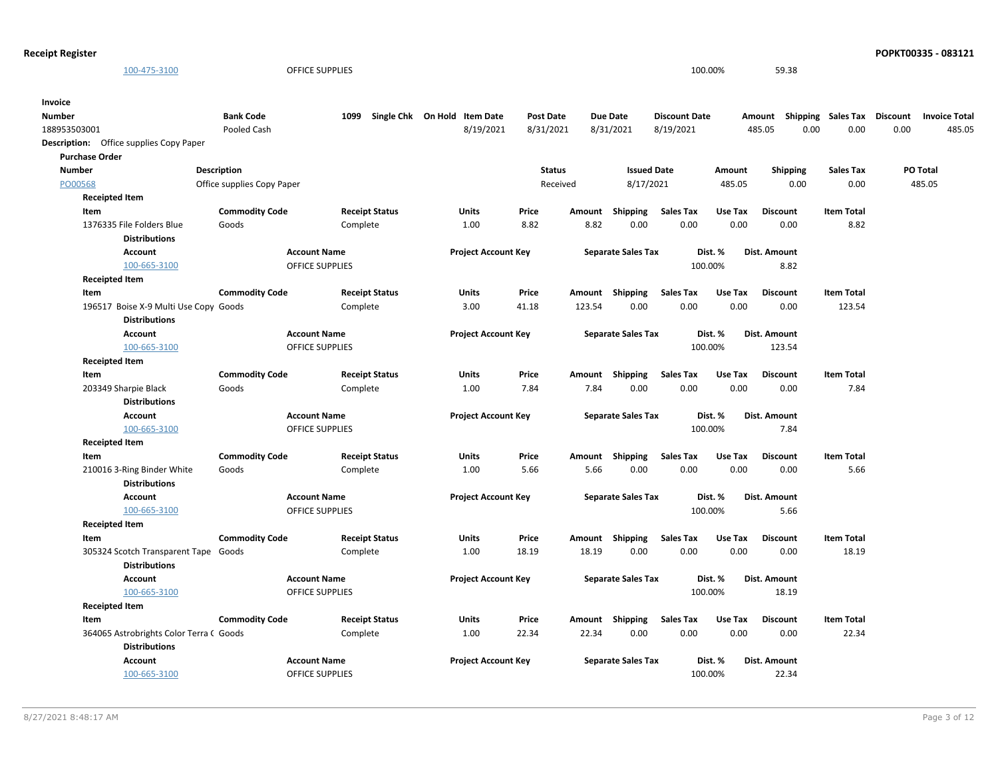| 100-475-3100                                                     |                            | OFFICE SUPPLIES        |                                   |                  |        |                           |                      | 100.00% | 59.38                     |                   |          |                      |
|------------------------------------------------------------------|----------------------------|------------------------|-----------------------------------|------------------|--------|---------------------------|----------------------|---------|---------------------------|-------------------|----------|----------------------|
| Invoice                                                          |                            |                        |                                   |                  |        |                           |                      |         |                           |                   |          |                      |
| Number                                                           | <b>Bank Code</b>           |                        | 1099 Single Chk On Hold Item Date | <b>Post Date</b> |        | <b>Due Date</b>           | <b>Discount Date</b> |         | Amount Shipping Sales Tax |                   | Discount | <b>Invoice Total</b> |
| 188953503001                                                     | Pooled Cash                |                        | 8/19/2021                         | 8/31/2021        |        | 8/31/2021                 | 8/19/2021            |         | 485.05<br>0.00            | 0.00              | 0.00     | 485.05               |
| Description: Office supplies Copy Paper<br><b>Purchase Order</b> |                            |                        |                                   |                  |        |                           |                      |         |                           |                   |          |                      |
| <b>Number</b>                                                    | Description                |                        |                                   | <b>Status</b>    |        | <b>Issued Date</b>        |                      | Amount  | <b>Shipping</b>           | <b>Sales Tax</b>  |          | PO Total             |
| PO00568                                                          | Office supplies Copy Paper |                        |                                   | Received         |        | 8/17/2021                 |                      | 485.05  | 0.00                      | 0.00              |          | 485.05               |
| <b>Receipted Item</b>                                            |                            |                        |                                   |                  |        |                           |                      |         |                           |                   |          |                      |
| Item                                                             | <b>Commodity Code</b>      | <b>Receipt Status</b>  | Units                             | Price            | Amount | Shipping                  | <b>Sales Tax</b>     | Use Tax | <b>Discount</b>           | <b>Item Total</b> |          |                      |
| 1376335 File Folders Blue                                        | Goods                      | Complete               | 1.00                              | 8.82             | 8.82   | 0.00                      | 0.00                 | 0.00    | 0.00                      | 8.82              |          |                      |
| <b>Distributions</b>                                             |                            |                        |                                   |                  |        |                           |                      |         |                           |                   |          |                      |
| <b>Account</b>                                                   |                            | <b>Account Name</b>    | <b>Project Account Key</b>        |                  |        | <b>Separate Sales Tax</b> |                      | Dist. % | <b>Dist. Amount</b>       |                   |          |                      |
| 100-665-3100                                                     |                            | <b>OFFICE SUPPLIES</b> |                                   |                  |        |                           |                      | 100.00% | 8.82                      |                   |          |                      |
| <b>Receipted Item</b>                                            |                            |                        |                                   |                  |        |                           |                      |         |                           |                   |          |                      |
| Item                                                             | <b>Commodity Code</b>      | <b>Receipt Status</b>  | <b>Units</b>                      | Price            | Amount | Shipping                  | <b>Sales Tax</b>     | Use Tax | <b>Discount</b>           | <b>Item Total</b> |          |                      |
| 196517 Boise X-9 Multi Use Copy Goods<br><b>Distributions</b>    |                            | Complete               | 3.00                              | 41.18            | 123.54 | 0.00                      | 0.00                 | 0.00    | 0.00                      | 123.54            |          |                      |
| <b>Account</b>                                                   |                            | <b>Account Name</b>    | <b>Project Account Key</b>        |                  |        | <b>Separate Sales Tax</b> |                      | Dist. % | Dist. Amount              |                   |          |                      |
| 100-665-3100                                                     |                            | <b>OFFICE SUPPLIES</b> |                                   |                  |        |                           |                      | 100.00% | 123.54                    |                   |          |                      |
| <b>Receipted Item</b>                                            |                            |                        |                                   |                  |        |                           |                      |         |                           |                   |          |                      |
| Item                                                             | <b>Commodity Code</b>      | <b>Receipt Status</b>  | Units                             | Price            |        | Amount Shipping           | <b>Sales Tax</b>     | Use Tax | <b>Discount</b>           | <b>Item Total</b> |          |                      |
| 203349 Sharpie Black                                             | Goods                      | Complete               | 1.00                              | 7.84             | 7.84   | 0.00                      | 0.00                 | 0.00    | 0.00                      | 7.84              |          |                      |
| <b>Distributions</b>                                             |                            |                        |                                   |                  |        |                           |                      |         |                           |                   |          |                      |
| <b>Account</b>                                                   |                            | <b>Account Name</b>    | <b>Project Account Key</b>        |                  |        | <b>Separate Sales Tax</b> |                      | Dist. % | <b>Dist. Amount</b>       |                   |          |                      |
| 100-665-3100                                                     |                            | <b>OFFICE SUPPLIES</b> |                                   |                  |        |                           |                      | 100.00% | 7.84                      |                   |          |                      |
| <b>Receipted Item</b>                                            |                            |                        |                                   |                  |        |                           |                      |         |                           |                   |          |                      |
| Item                                                             | <b>Commodity Code</b>      | <b>Receipt Status</b>  | <b>Units</b>                      | Price            |        | Amount Shipping           | <b>Sales Tax</b>     | Use Tax | <b>Discount</b>           | <b>Item Total</b> |          |                      |
| 210016 3-Ring Binder White                                       | Goods                      | Complete               | 1.00                              | 5.66             | 5.66   | 0.00                      | 0.00                 | 0.00    | 0.00                      | 5.66              |          |                      |
| <b>Distributions</b>                                             |                            |                        |                                   |                  |        |                           |                      |         |                           |                   |          |                      |
| Account                                                          |                            | <b>Account Name</b>    | <b>Project Account Key</b>        |                  |        | <b>Separate Sales Tax</b> |                      | Dist. % | Dist. Amount              |                   |          |                      |
| 100-665-3100                                                     |                            | <b>OFFICE SUPPLIES</b> |                                   |                  |        |                           |                      | 100.00% | 5.66                      |                   |          |                      |
| <b>Receipted Item</b>                                            |                            |                        |                                   |                  |        |                           |                      |         |                           |                   |          |                      |
| Item                                                             | <b>Commodity Code</b>      | <b>Receipt Status</b>  | <b>Units</b>                      | Price            |        | Amount Shipping           | <b>Sales Tax</b>     | Use Tax | <b>Discount</b>           | <b>Item Total</b> |          |                      |
| 305324 Scotch Transparent Tape Goods                             |                            | Complete               | 1.00                              | 18.19            | 18.19  | 0.00                      | 0.00                 | 0.00    | 0.00                      | 18.19             |          |                      |
| <b>Distributions</b>                                             |                            |                        |                                   |                  |        |                           |                      |         |                           |                   |          |                      |
| Account                                                          |                            | <b>Account Name</b>    | <b>Project Account Key</b>        |                  |        | <b>Separate Sales Tax</b> |                      | Dist. % | Dist. Amount              |                   |          |                      |
| 100-665-3100                                                     |                            | OFFICE SUPPLIES        |                                   |                  |        |                           |                      | 100.00% | 18.19                     |                   |          |                      |
| <b>Receipted Item</b>                                            |                            |                        |                                   |                  |        |                           |                      |         |                           |                   |          |                      |
| Item                                                             | <b>Commodity Code</b>      | <b>Receipt Status</b>  | Units                             | Price            |        | Amount Shipping           | <b>Sales Tax</b>     | Use Tax | <b>Discount</b>           | <b>Item Total</b> |          |                      |
| 364065 Astrobrights Color Terra ( Goods<br><b>Distributions</b>  |                            | Complete               | 1.00                              | 22.34            | 22.34  | 0.00                      | 0.00                 | 0.00    | 0.00                      | 22.34             |          |                      |
| Account                                                          |                            | <b>Account Name</b>    | <b>Project Account Key</b>        |                  |        | <b>Separate Sales Tax</b> |                      | Dist. % | Dist. Amount              |                   |          |                      |

100-665-3100 OFFICE SUPPLIES 100.00% 22.34

**Receipt Register POPKT00335 - 083121**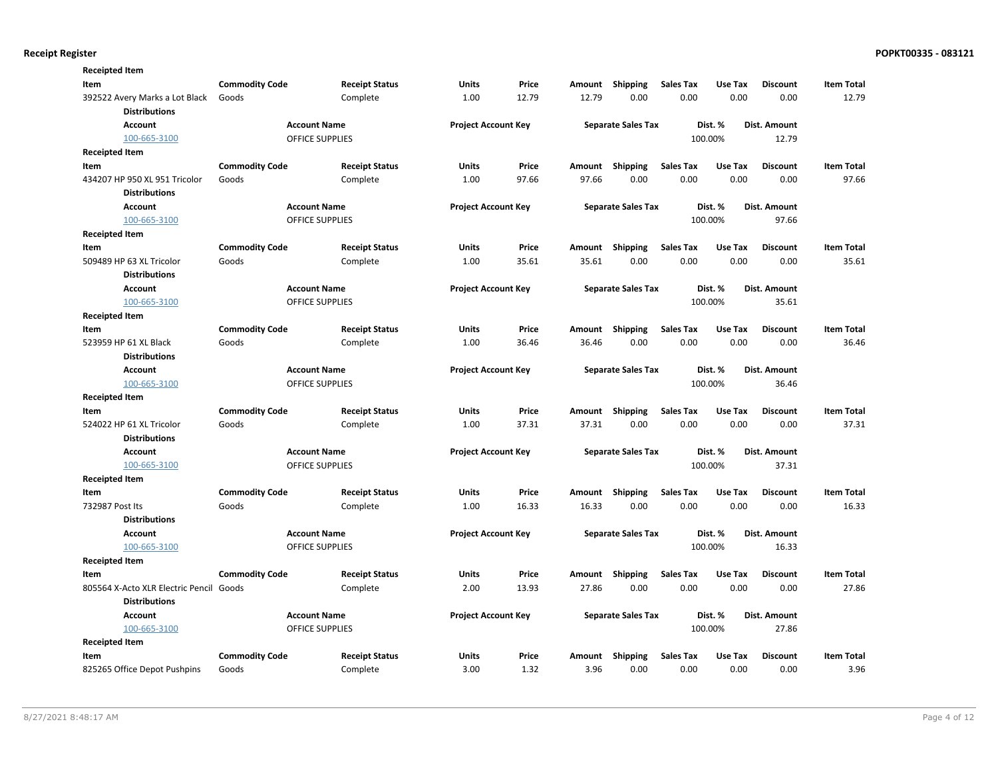| <b>Receipted Item</b>                                  |                       |                        |                            |       |        |                           |                  |                |                     |                   |
|--------------------------------------------------------|-----------------------|------------------------|----------------------------|-------|--------|---------------------------|------------------|----------------|---------------------|-------------------|
| Item                                                   | <b>Commodity Code</b> | <b>Receipt Status</b>  | Units                      | Price | Amount | <b>Shipping</b>           | <b>Sales Tax</b> | Use Tax        | <b>Discount</b>     | <b>Item Total</b> |
| 392522 Avery Marks a Lot Black<br><b>Distributions</b> | Goods                 | Complete               | 1.00                       | 12.79 | 12.79  | 0.00                      | 0.00             | 0.00           | 0.00                | 12.79             |
| <b>Account</b>                                         |                       | <b>Account Name</b>    | <b>Project Account Key</b> |       |        | <b>Separate Sales Tax</b> |                  | Dist. %        | Dist. Amount        |                   |
| 100-665-3100                                           |                       | <b>OFFICE SUPPLIES</b> |                            |       |        |                           |                  | 100.00%        | 12.79               |                   |
| <b>Receipted Item</b>                                  |                       |                        |                            |       |        |                           |                  |                |                     |                   |
| Item                                                   | <b>Commodity Code</b> | <b>Receipt Status</b>  | <b>Units</b>               | Price | Amount | <b>Shipping</b>           | <b>Sales Tax</b> | <b>Use Tax</b> | <b>Discount</b>     | <b>Item Total</b> |
| 434207 HP 950 XL 951 Tricolor                          | Goods                 | Complete               | 1.00                       | 97.66 | 97.66  | 0.00                      | 0.00             | 0.00           | 0.00                | 97.66             |
| <b>Distributions</b>                                   |                       |                        |                            |       |        |                           |                  |                |                     |                   |
| <b>Account</b>                                         |                       | <b>Account Name</b>    | <b>Project Account Key</b> |       |        | <b>Separate Sales Tax</b> |                  | Dist. %        | Dist. Amount        |                   |
| 100-665-3100                                           |                       | <b>OFFICE SUPPLIES</b> |                            |       |        |                           |                  | 100.00%        | 97.66               |                   |
| <b>Receipted Item</b>                                  |                       |                        |                            |       |        |                           |                  |                |                     |                   |
| Item                                                   | <b>Commodity Code</b> | <b>Receipt Status</b>  | <b>Units</b>               | Price | Amount | Shipping                  | <b>Sales Tax</b> | Use Tax        | <b>Discount</b>     | <b>Item Total</b> |
| 509489 HP 63 XL Tricolor                               | Goods                 | Complete               | 1.00                       | 35.61 | 35.61  | 0.00                      | 0.00             | 0.00           | 0.00                | 35.61             |
| <b>Distributions</b>                                   |                       |                        |                            |       |        |                           |                  |                |                     |                   |
| <b>Account</b>                                         |                       | <b>Account Name</b>    | <b>Project Account Key</b> |       |        | <b>Separate Sales Tax</b> |                  | Dist. %        | <b>Dist. Amount</b> |                   |
| 100-665-3100                                           |                       | <b>OFFICE SUPPLIES</b> |                            |       |        |                           |                  | 100.00%        | 35.61               |                   |
| <b>Receipted Item</b>                                  |                       |                        |                            |       |        |                           |                  |                |                     |                   |
| Item                                                   | <b>Commodity Code</b> | <b>Receipt Status</b>  | <b>Units</b>               | Price | Amount | Shipping                  | <b>Sales Tax</b> | Use Tax        | <b>Discount</b>     | <b>Item Total</b> |
| 523959 HP 61 XL Black                                  | Goods                 | Complete               | 1.00                       | 36.46 | 36.46  | 0.00                      | 0.00             | 0.00           | 0.00                | 36.46             |
| <b>Distributions</b>                                   |                       |                        |                            |       |        |                           |                  |                |                     |                   |
| <b>Account</b>                                         |                       | <b>Account Name</b>    | <b>Project Account Key</b> |       |        | <b>Separate Sales Tax</b> |                  | Dist. %        | Dist. Amount        |                   |
| 100-665-3100                                           |                       | <b>OFFICE SUPPLIES</b> |                            |       |        |                           |                  | 100.00%        | 36.46               |                   |
| <b>Receipted Item</b>                                  |                       |                        |                            |       |        |                           |                  |                |                     |                   |
| Item                                                   | <b>Commodity Code</b> | <b>Receipt Status</b>  | Units                      | Price | Amount | Shipping                  | <b>Sales Tax</b> | Use Tax        | <b>Discount</b>     | <b>Item Total</b> |
| 524022 HP 61 XL Tricolor                               | Goods                 | Complete               | 1.00                       | 37.31 | 37.31  | 0.00                      | 0.00             | 0.00           | 0.00                | 37.31             |
| <b>Distributions</b>                                   |                       |                        |                            |       |        |                           |                  |                |                     |                   |
| <b>Account</b>                                         |                       | <b>Account Name</b>    | <b>Project Account Key</b> |       |        | <b>Separate Sales Tax</b> |                  | Dist. %        | Dist. Amount        |                   |
| 100-665-3100                                           |                       | <b>OFFICE SUPPLIES</b> |                            |       |        |                           |                  | 100.00%        | 37.31               |                   |
| <b>Receipted Item</b>                                  |                       |                        |                            |       |        |                           |                  |                |                     |                   |
| Item                                                   | <b>Commodity Code</b> | <b>Receipt Status</b>  | Units                      | Price | Amount | Shipping                  | <b>Sales Tax</b> | Use Tax        | <b>Discount</b>     | <b>Item Total</b> |
| 732987 Post Its                                        | Goods                 | Complete               | 1.00                       | 16.33 | 16.33  | 0.00                      | 0.00             | 0.00           | 0.00                | 16.33             |
| <b>Distributions</b>                                   |                       |                        |                            |       |        |                           |                  |                |                     |                   |
| <b>Account</b>                                         |                       | <b>Account Name</b>    | <b>Project Account Key</b> |       |        | <b>Separate Sales Tax</b> |                  | Dist. %        | Dist. Amount        |                   |
| 100-665-3100                                           |                       | OFFICE SUPPLIES        |                            |       |        |                           |                  | 100.00%        | 16.33               |                   |
| <b>Receipted Item</b>                                  |                       |                        |                            |       |        |                           |                  |                |                     |                   |
| Item                                                   | <b>Commodity Code</b> | <b>Receipt Status</b>  | Units                      | Price | Amount | Shipping                  | <b>Sales Tax</b> | Use Tax        | <b>Discount</b>     | <b>Item Total</b> |
| 805564 X-Acto XLR Electric Pencil                      | Goods                 | Complete               | 2.00                       | 13.93 | 27.86  | 0.00                      | 0.00             | 0.00           | 0.00                | 27.86             |
| <b>Distributions</b>                                   |                       |                        |                            |       |        |                           |                  |                |                     |                   |
| <b>Account</b>                                         |                       | <b>Account Name</b>    | <b>Project Account Key</b> |       |        | <b>Separate Sales Tax</b> |                  | Dist. %        | Dist. Amount        |                   |
| 100-665-3100                                           |                       | OFFICE SUPPLIES        |                            |       |        |                           |                  | 100.00%        | 27.86               |                   |
| <b>Receipted Item</b>                                  |                       |                        |                            |       |        |                           |                  |                |                     |                   |
| Item                                                   | <b>Commodity Code</b> | <b>Receipt Status</b>  | <b>Units</b>               | Price | Amount | Shipping                  | <b>Sales Tax</b> | Use Tax        | <b>Discount</b>     | <b>Item Total</b> |
| 825265 Office Depot Pushpins                           | Goods                 | Complete               | 3.00                       | 1.32  | 3.96   | 0.00                      | 0.00             | 0.00           | 0.00                | 3.96              |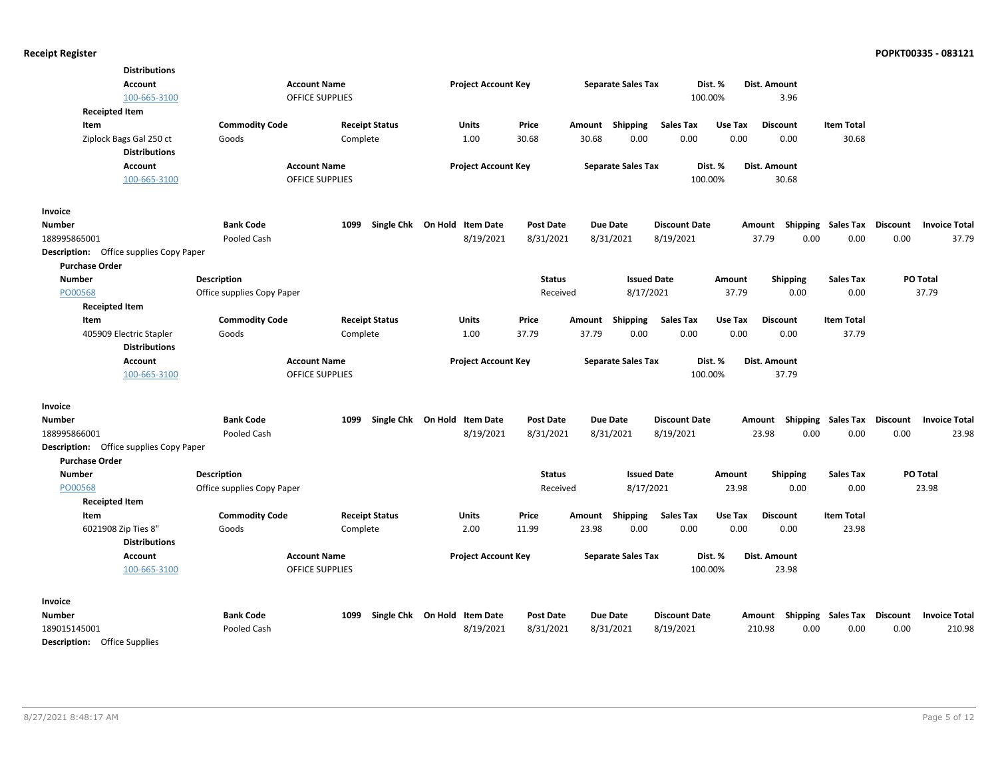| <b>Distributions</b>                           |                            |                       |                              |                  |        |                           |                      |         |                                    |                   |          |                      |
|------------------------------------------------|----------------------------|-----------------------|------------------------------|------------------|--------|---------------------------|----------------------|---------|------------------------------------|-------------------|----------|----------------------|
| <b>Account</b>                                 | <b>Account Name</b>        |                       | <b>Project Account Key</b>   |                  |        | <b>Separate Sales Tax</b> | Dist. %              |         | Dist. Amount                       |                   |          |                      |
| 100-665-3100                                   | OFFICE SUPPLIES            |                       |                              |                  |        |                           | 100.00%              |         | 3.96                               |                   |          |                      |
| <b>Receipted Item</b>                          |                            |                       |                              |                  |        |                           |                      |         |                                    |                   |          |                      |
| Item                                           | <b>Commodity Code</b>      | <b>Receipt Status</b> | Units                        | Price            | Amount | Shipping                  | <b>Sales Tax</b>     | Use Tax | <b>Discount</b>                    | <b>Item Total</b> |          |                      |
| Ziplock Bags Gal 250 ct                        | Goods                      | Complete              | 1.00                         | 30.68            | 30.68  | 0.00                      | 0.00                 | 0.00    | 0.00                               | 30.68             |          |                      |
| <b>Distributions</b>                           |                            |                       |                              |                  |        |                           |                      |         |                                    |                   |          |                      |
| <b>Account</b>                                 | <b>Account Name</b>        |                       | <b>Project Account Key</b>   |                  |        | <b>Separate Sales Tax</b> |                      | Dist. % | Dist. Amount                       |                   |          |                      |
| 100-665-3100                                   | <b>OFFICE SUPPLIES</b>     |                       |                              |                  |        |                           | 100.00%              |         | 30.68                              |                   |          |                      |
| Invoice                                        |                            |                       |                              |                  |        |                           |                      |         |                                    |                   |          |                      |
| <b>Number</b>                                  | <b>Bank Code</b>           | 1099                  | Single Chk On Hold Item Date | <b>Post Date</b> |        | Due Date                  | <b>Discount Date</b> |         | Amount Shipping Sales Tax          |                   | Discount | <b>Invoice Total</b> |
| 188995865001                                   | Pooled Cash                |                       | 8/19/2021                    | 8/31/2021        |        | 8/31/2021                 | 8/19/2021            |         | 37.79<br>0.00                      | 0.00              | 0.00     | 37.79                |
| <b>Description:</b> Office supplies Copy Paper |                            |                       |                              |                  |        |                           |                      |         |                                    |                   |          |                      |
| <b>Purchase Order</b>                          |                            |                       |                              |                  |        |                           |                      |         |                                    |                   |          |                      |
| <b>Number</b>                                  | Description                |                       |                              | <b>Status</b>    |        | <b>Issued Date</b>        |                      | Amount  | <b>Shipping</b>                    | <b>Sales Tax</b>  | PO Total |                      |
| PO00568                                        | Office supplies Copy Paper |                       |                              | Received         |        | 8/17/2021                 |                      | 37.79   | 0.00                               | 0.00              | 37.79    |                      |
| <b>Receipted Item</b>                          |                            |                       |                              |                  |        |                           |                      |         |                                    |                   |          |                      |
| Item                                           | <b>Commodity Code</b>      | <b>Receipt Status</b> | Units                        | Price            | Amount | Shipping                  | <b>Sales Tax</b>     | Use Tax | <b>Discount</b>                    | <b>Item Total</b> |          |                      |
| 405909 Electric Stapler                        | Goods                      | Complete              | 1.00                         | 37.79            | 37.79  | 0.00                      | 0.00                 | 0.00    | 0.00                               | 37.79             |          |                      |
| <b>Distributions</b>                           |                            |                       |                              |                  |        |                           |                      |         |                                    |                   |          |                      |
| <b>Account</b>                                 | <b>Account Name</b>        |                       | <b>Project Account Key</b>   |                  |        | <b>Separate Sales Tax</b> | Dist. %              |         | Dist. Amount                       |                   |          |                      |
| 100-665-3100                                   | <b>OFFICE SUPPLIES</b>     |                       |                              |                  |        |                           | 100.00%              |         | 37.79                              |                   |          |                      |
| Invoice                                        |                            |                       |                              |                  |        |                           |                      |         |                                    |                   |          |                      |
| <b>Number</b>                                  | <b>Bank Code</b>           | 1099                  | Single Chk On Hold Item Date | <b>Post Date</b> |        | Due Date                  | <b>Discount Date</b> |         | Amount Shipping Sales Tax Discount |                   |          | <b>Invoice Total</b> |
| 188995866001                                   | Pooled Cash                |                       | 8/19/2021                    | 8/31/2021        |        | 8/31/2021                 | 8/19/2021            |         | 23.98<br>0.00                      | 0.00              | 0.00     | 23.98                |
| <b>Description:</b> Office supplies Copy Paper |                            |                       |                              |                  |        |                           |                      |         |                                    |                   |          |                      |
| <b>Purchase Order</b>                          |                            |                       |                              |                  |        |                           |                      |         |                                    |                   |          |                      |
| <b>Number</b>                                  | <b>Description</b>         |                       |                              | <b>Status</b>    |        | <b>Issued Date</b>        |                      | Amount  | <b>Shipping</b>                    | <b>Sales Tax</b>  | PO Total |                      |
| PO00568                                        | Office supplies Copy Paper |                       |                              | Received         |        | 8/17/2021                 |                      | 23.98   | 0.00                               | 0.00              | 23.98    |                      |
| <b>Receipted Item</b>                          |                            |                       |                              |                  |        |                           |                      |         |                                    |                   |          |                      |
| Item                                           | <b>Commodity Code</b>      | <b>Receipt Status</b> | <b>Units</b>                 | Price            | Amount | Shipping                  | <b>Sales Tax</b>     | Use Tax | <b>Discount</b>                    | <b>Item Total</b> |          |                      |
| 6021908 Zip Ties 8"                            | Goods                      | Complete              | 2.00                         | 11.99            | 23.98  | 0.00                      | 0.00                 | 0.00    | 0.00                               | 23.98             |          |                      |
| <b>Distributions</b>                           |                            |                       |                              |                  |        |                           |                      |         |                                    |                   |          |                      |
| <b>Account</b>                                 | <b>Account Name</b>        |                       | <b>Project Account Key</b>   |                  |        | <b>Separate Sales Tax</b> | Dist. %              |         | Dist. Amount                       |                   |          |                      |
| 100-665-3100                                   | <b>OFFICE SUPPLIES</b>     |                       |                              |                  |        |                           | 100.00%              |         | 23.98                              |                   |          |                      |
| Invoice                                        |                            |                       |                              |                  |        |                           |                      |         |                                    |                   |          |                      |
| Number                                         | <b>Bank Code</b>           | 1099                  | Single Chk On Hold Item Date | <b>Post Date</b> |        | Due Date                  | <b>Discount Date</b> |         | Amount Shipping Sales Tax          |                   | Discount | <b>Invoice Total</b> |
| 189015145001                                   | Pooled Cash                |                       | 8/19/2021                    | 8/31/2021        |        | 8/31/2021                 | 8/19/2021            |         | 210.98<br>0.00                     | 0.00              | 0.00     | 210.98               |
| <b>Description:</b> Office Supplies            |                            |                       |                              |                  |        |                           |                      |         |                                    |                   |          |                      |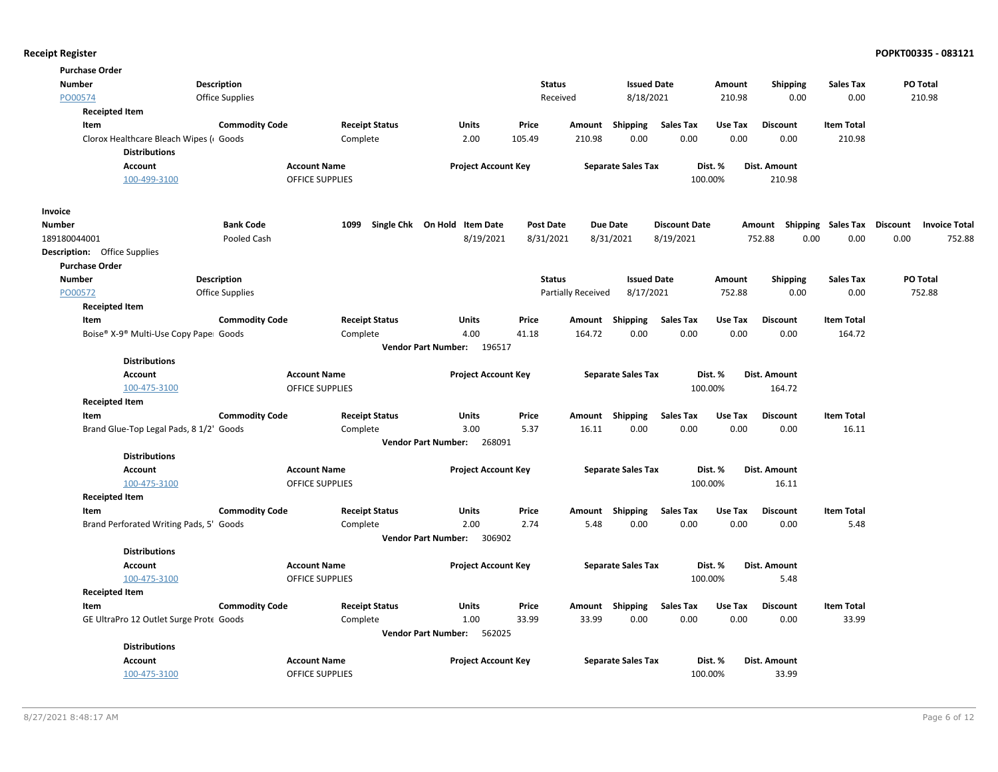|               | <b>Purchase Order</b>                   |                        |                                               |                                      |                  |                    |                           |                      |         |                        |                             |                      |
|---------------|-----------------------------------------|------------------------|-----------------------------------------------|--------------------------------------|------------------|--------------------|---------------------------|----------------------|---------|------------------------|-----------------------------|----------------------|
| <b>Number</b> |                                         | <b>Description</b>     |                                               |                                      | <b>Status</b>    |                    | <b>Issued Date</b>        |                      | Amount  | <b>Shipping</b>        | Sales Tax                   | PO Total             |
| PO00574       |                                         | <b>Office Supplies</b> |                                               |                                      | Received         |                    | 8/18/2021                 |                      | 210.98  | 0.00                   | 0.00                        | 210.98               |
|               | <b>Receipted Item</b>                   |                        |                                               |                                      |                  |                    |                           |                      |         |                        |                             |                      |
|               | Item                                    | <b>Commodity Code</b>  | <b>Receipt Status</b>                         | <b>Units</b>                         | Price            | Amount             | Shipping                  | <b>Sales Tax</b>     | Use Tax | <b>Discount</b>        | <b>Item Total</b>           |                      |
|               | Clorox Healthcare Bleach Wipes (Goods   |                        | Complete                                      | 2.00                                 | 105.49           | 210.98             | 0.00                      | 0.00                 | 0.00    | 0.00                   | 210.98                      |                      |
|               | <b>Distributions</b>                    |                        |                                               |                                      |                  |                    |                           |                      | Dist. % |                        |                             |                      |
|               | <b>Account</b><br>100-499-3100          |                        | <b>Account Name</b><br><b>OFFICE SUPPLIES</b> | <b>Project Account Key</b>           |                  |                    | <b>Separate Sales Tax</b> |                      | 100.00% | Dist. Amount<br>210.98 |                             |                      |
|               |                                         |                        |                                               |                                      |                  |                    |                           |                      |         |                        |                             |                      |
| Invoice       |                                         |                        |                                               |                                      |                  |                    |                           |                      |         |                        |                             |                      |
| <b>Number</b> |                                         | <b>Bank Code</b>       | 1099                                          | Single Chk On Hold Item Date         | <b>Post Date</b> | <b>Due Date</b>    |                           | <b>Discount Date</b> |         | Amount                 | Shipping Sales Tax Discount | <b>Invoice Total</b> |
| 189180044001  |                                         | Pooled Cash            |                                               | 8/19/2021                            | 8/31/2021        |                    | 8/31/2021                 | 8/19/2021            |         | 752.88<br>0.00         | 0.00                        | 0.00<br>752.88       |
|               | <b>Description:</b> Office Supplies     |                        |                                               |                                      |                  |                    |                           |                      |         |                        |                             |                      |
|               | <b>Purchase Order</b>                   |                        |                                               |                                      |                  |                    |                           |                      |         |                        |                             |                      |
| <b>Number</b> |                                         | <b>Description</b>     |                                               |                                      | <b>Status</b>    |                    | <b>Issued Date</b>        |                      | Amount  | <b>Shipping</b>        | <b>Sales Tax</b>            | PO Total             |
| PO00572       |                                         | <b>Office Supplies</b> |                                               |                                      |                  | Partially Received | 8/17/2021                 |                      | 752.88  | 0.00                   | 0.00                        | 752.88               |
|               | <b>Receipted Item</b>                   |                        |                                               |                                      |                  |                    |                           |                      |         |                        |                             |                      |
|               | Item                                    | <b>Commodity Code</b>  | <b>Receipt Status</b>                         | Units                                | Price            | Amount             | Shipping                  | <b>Sales Tax</b>     | Use Tax | <b>Discount</b>        | <b>Item Total</b>           |                      |
|               | Boise® X-9® Multi-Use Copy Pape Goods   |                        | Complete                                      | 4.00                                 | 41.18            | 164.72             | 0.00                      | 0.00                 | 0.00    | 0.00                   | 164.72                      |                      |
|               |                                         |                        |                                               | Vendor Part Number: 196517           |                  |                    |                           |                      |         |                        |                             |                      |
|               | <b>Distributions</b>                    |                        |                                               |                                      |                  |                    |                           |                      |         |                        |                             |                      |
|               | <b>Account</b>                          |                        | <b>Account Name</b>                           | <b>Project Account Key</b>           |                  |                    | <b>Separate Sales Tax</b> |                      | Dist. % | Dist. Amount           |                             |                      |
|               | 100-475-3100                            |                        | <b>OFFICE SUPPLIES</b>                        |                                      |                  |                    |                           |                      | 100.00% | 164.72                 |                             |                      |
|               | <b>Receipted Item</b><br>Item           | <b>Commodity Code</b>  | <b>Receipt Status</b>                         | Units                                | Price            | Amount             | <b>Shipping</b>           | <b>Sales Tax</b>     | Use Tax | <b>Discount</b>        | <b>Item Total</b>           |                      |
|               | Brand Glue-Top Legal Pads, 8 1/2' Goods |                        | Complete                                      | 3.00                                 | 5.37             | 16.11              | 0.00                      | 0.00                 | 0.00    | 0.00                   | 16.11                       |                      |
|               |                                         |                        |                                               | <b>Vendor Part Number:</b><br>268091 |                  |                    |                           |                      |         |                        |                             |                      |
|               | <b>Distributions</b>                    |                        |                                               |                                      |                  |                    |                           |                      |         |                        |                             |                      |
|               | <b>Account</b>                          |                        | <b>Account Name</b>                           | <b>Project Account Key</b>           |                  |                    | <b>Separate Sales Tax</b> |                      | Dist. % | Dist. Amount           |                             |                      |
|               | 100-475-3100                            |                        | <b>OFFICE SUPPLIES</b>                        |                                      |                  |                    |                           |                      | 100.00% | 16.11                  |                             |                      |
|               | <b>Receipted Item</b>                   |                        |                                               |                                      |                  |                    |                           |                      |         |                        |                             |                      |
|               | Item                                    | <b>Commodity Code</b>  | <b>Receipt Status</b>                         | <b>Units</b>                         | Price            | Amount Shipping    |                           | <b>Sales Tax</b>     | Use Tax | <b>Discount</b>        | <b>Item Total</b>           |                      |
|               | Brand Perforated Writing Pads, 5' Goods |                        | Complete                                      | 2.00                                 | 2.74             | 5.48               | 0.00                      | 0.00                 | 0.00    | 0.00                   | 5.48                        |                      |
|               |                                         |                        |                                               | Vendor Part Number: 306902           |                  |                    |                           |                      |         |                        |                             |                      |
|               | <b>Distributions</b>                    |                        |                                               |                                      |                  |                    |                           |                      |         |                        |                             |                      |
|               | Account                                 |                        | <b>Account Name</b>                           | <b>Project Account Key</b>           |                  |                    | <b>Separate Sales Tax</b> |                      | Dist. % | Dist. Amount           |                             |                      |
|               | 100-475-3100                            |                        | <b>OFFICE SUPPLIES</b>                        |                                      |                  |                    |                           |                      | 100.00% | 5.48                   |                             |                      |
|               | <b>Receipted Item</b>                   |                        |                                               |                                      |                  |                    |                           |                      |         |                        |                             |                      |
|               | Item                                    | <b>Commodity Code</b>  | <b>Receipt Status</b>                         | Units                                | Price            | Amount Shipping    |                           | <b>Sales Tax</b>     | Use Tax | <b>Discount</b>        | <b>Item Total</b>           |                      |
|               | GE UltraPro 12 Outlet Surge Prote Goods |                        | Complete                                      | 1.00                                 | 33.99            | 33.99              | 0.00                      | 0.00                 | 0.00    | 0.00                   | 33.99                       |                      |
|               |                                         |                        |                                               | 562025<br><b>Vendor Part Number:</b> |                  |                    |                           |                      |         |                        |                             |                      |
|               | <b>Distributions</b>                    |                        |                                               |                                      |                  |                    |                           |                      |         |                        |                             |                      |
|               | <b>Account</b>                          |                        | <b>Account Name</b>                           | <b>Project Account Key</b>           |                  |                    | <b>Separate Sales Tax</b> |                      | Dist. % | Dist. Amount           |                             |                      |
|               | 100-475-3100                            |                        | <b>OFFICE SUPPLIES</b>                        |                                      |                  |                    |                           |                      | 100.00% | 33.99                  |                             |                      |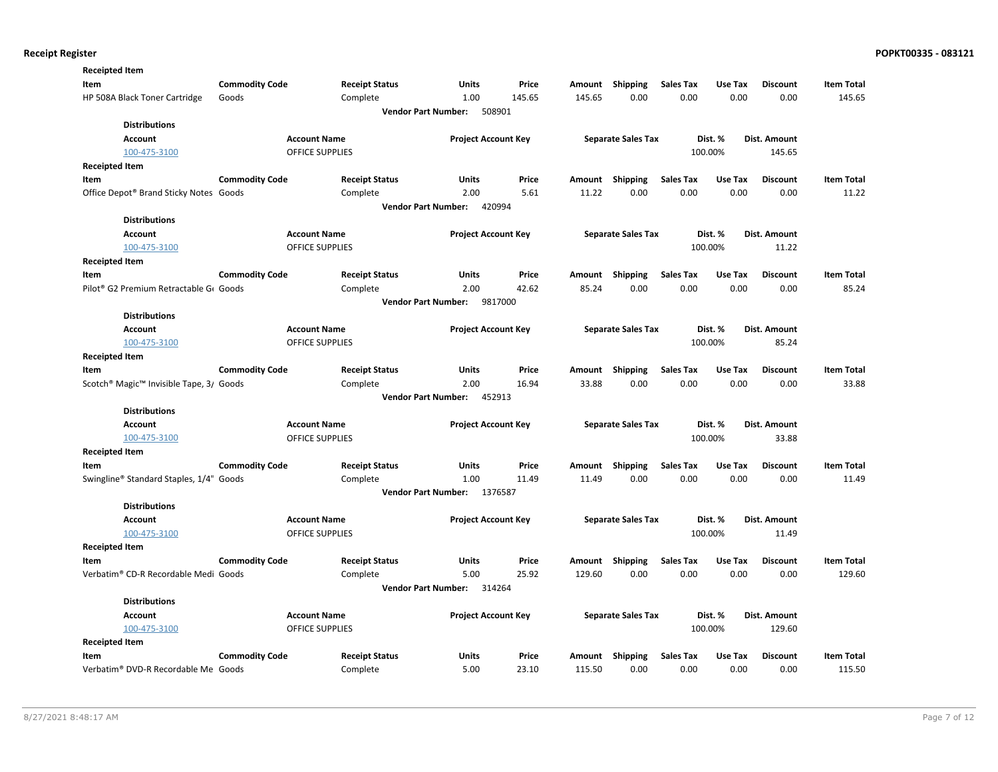| <b>Receipted Item</b>                                           |                       |                        |                                       |         |        |                           |                  |         |                 |                   |
|-----------------------------------------------------------------|-----------------------|------------------------|---------------------------------------|---------|--------|---------------------------|------------------|---------|-----------------|-------------------|
| Item                                                            | <b>Commodity Code</b> | <b>Receipt Status</b>  | Units                                 | Price   | Amount | Shipping                  | Sales Tax        | Use Tax | <b>Discount</b> | <b>Item Total</b> |
| HP 508A Black Toner Cartridge                                   | Goods                 | Complete               | 1.00                                  | 145.65  | 145.65 | 0.00                      | 0.00             | 0.00    | 0.00            | 145.65            |
|                                                                 |                       |                        | <b>Vendor Part Number:</b><br>508901  |         |        |                           |                  |         |                 |                   |
| <b>Distributions</b>                                            |                       |                        |                                       |         |        |                           |                  |         |                 |                   |
| <b>Account</b>                                                  |                       | <b>Account Name</b>    | <b>Project Account Key</b>            |         |        | <b>Separate Sales Tax</b> |                  | Dist. % | Dist. Amount    |                   |
| 100-475-3100                                                    |                       | <b>OFFICE SUPPLIES</b> |                                       |         |        |                           |                  | 100.00% | 145.65          |                   |
| <b>Receipted Item</b>                                           |                       |                        |                                       |         |        |                           |                  |         |                 |                   |
| Item                                                            | <b>Commodity Code</b> | <b>Receipt Status</b>  | Units                                 | Price   | Amount | <b>Shipping</b>           | <b>Sales Tax</b> | Use Tax | <b>Discount</b> | <b>Item Total</b> |
| Office Depot® Brand Sticky Notes Goods                          |                       | Complete               | 2.00                                  | 5.61    | 11.22  | 0.00                      | 0.00             | 0.00    | 0.00            | 11.22             |
|                                                                 |                       |                        | <b>Vendor Part Number:</b><br>420994  |         |        |                           |                  |         |                 |                   |
| <b>Distributions</b>                                            |                       |                        |                                       |         |        |                           |                  |         |                 |                   |
| <b>Account</b>                                                  |                       | <b>Account Name</b>    | <b>Project Account Key</b>            |         |        | <b>Separate Sales Tax</b> |                  | Dist. % | Dist. Amount    |                   |
| 100-475-3100                                                    |                       | <b>OFFICE SUPPLIES</b> |                                       |         |        |                           |                  | 100.00% | 11.22           |                   |
| <b>Receipted Item</b>                                           |                       |                        |                                       |         |        |                           |                  |         |                 |                   |
| Item                                                            | <b>Commodity Code</b> | <b>Receipt Status</b>  | Units                                 | Price   | Amount | <b>Shipping</b>           | <b>Sales Tax</b> | Use Tax | <b>Discount</b> | <b>Item Total</b> |
| Pilot <sup>®</sup> G2 Premium Retractable G <sub>6</sub> Goods  |                       | Complete               | 2.00                                  | 42.62   | 85.24  | 0.00                      | 0.00             | 0.00    | 0.00            | 85.24             |
|                                                                 |                       |                        | <b>Vendor Part Number:</b>            | 9817000 |        |                           |                  |         |                 |                   |
| <b>Distributions</b>                                            |                       |                        |                                       |         |        |                           |                  |         |                 |                   |
| <b>Account</b>                                                  |                       | <b>Account Name</b>    | <b>Project Account Key</b>            |         |        | <b>Separate Sales Tax</b> |                  | Dist. % | Dist. Amount    |                   |
| 100-475-3100                                                    |                       | <b>OFFICE SUPPLIES</b> |                                       |         |        |                           |                  | 100.00% | 85.24           |                   |
| <b>Receipted Item</b>                                           |                       |                        |                                       |         |        |                           |                  |         |                 |                   |
| Item                                                            | <b>Commodity Code</b> | <b>Receipt Status</b>  | Units                                 | Price   | Amount | Shipping                  | <b>Sales Tax</b> | Use Tax | <b>Discount</b> | <b>Item Total</b> |
| Scotch <sup>®</sup> Magic <sup>™</sup> Invisible Tape, 3/ Goods |                       | Complete               | 2.00                                  | 16.94   | 33.88  | 0.00                      | 0.00             | 0.00    | 0.00            | 33.88             |
|                                                                 |                       |                        | 452913<br><b>Vendor Part Number:</b>  |         |        |                           |                  |         |                 |                   |
| <b>Distributions</b>                                            |                       |                        |                                       |         |        |                           |                  |         |                 |                   |
| <b>Account</b>                                                  |                       | <b>Account Name</b>    | <b>Project Account Key</b>            |         |        | <b>Separate Sales Tax</b> |                  | Dist. % | Dist. Amount    |                   |
| 100-475-3100                                                    |                       | OFFICE SUPPLIES        |                                       |         |        |                           |                  | 100.00% | 33.88           |                   |
| <b>Receipted Item</b>                                           |                       |                        |                                       |         |        |                           |                  |         |                 |                   |
| Item                                                            | <b>Commodity Code</b> | <b>Receipt Status</b>  | Units                                 | Price   | Amount | Shipping                  | <b>Sales Tax</b> | Use Tax | <b>Discount</b> | <b>Item Total</b> |
| Swingline® Standard Staples, 1/4" Goods                         |                       | Complete               | 1.00                                  | 11.49   | 11.49  | 0.00                      | 0.00             | 0.00    | 0.00            | 11.49             |
|                                                                 |                       |                        | <b>Vendor Part Number:</b><br>1376587 |         |        |                           |                  |         |                 |                   |
| <b>Distributions</b>                                            |                       |                        |                                       |         |        |                           |                  |         |                 |                   |
| <b>Account</b>                                                  |                       | <b>Account Name</b>    | <b>Project Account Key</b>            |         |        | <b>Separate Sales Tax</b> |                  | Dist. % | Dist. Amount    |                   |
| 100-475-3100                                                    |                       | <b>OFFICE SUPPLIES</b> |                                       |         |        |                           |                  | 100.00% | 11.49           |                   |
| <b>Receipted Item</b>                                           |                       |                        |                                       |         |        |                           |                  |         |                 |                   |
| Item                                                            | <b>Commodity Code</b> | <b>Receipt Status</b>  | Units                                 | Price   | Amount | Shipping                  | <b>Sales Tax</b> | Use Tax | <b>Discount</b> | <b>Item Total</b> |
| Verbatim® CD-R Recordable Medi Goods                            |                       | Complete               | 5.00                                  | 25.92   | 129.60 | 0.00                      | 0.00             | 0.00    | 0.00            | 129.60            |
|                                                                 |                       |                        | 314264<br><b>Vendor Part Number:</b>  |         |        |                           |                  |         |                 |                   |
| <b>Distributions</b>                                            |                       |                        |                                       |         |        |                           |                  |         |                 |                   |
| <b>Account</b>                                                  |                       | <b>Account Name</b>    | <b>Project Account Key</b>            |         |        | <b>Separate Sales Tax</b> |                  | Dist. % | Dist. Amount    |                   |
| 100-475-3100                                                    |                       | <b>OFFICE SUPPLIES</b> |                                       |         |        |                           |                  | 100.00% | 129.60          |                   |
| <b>Receipted Item</b>                                           |                       |                        |                                       |         |        |                           |                  |         |                 |                   |
| Item                                                            | <b>Commodity Code</b> | <b>Receipt Status</b>  | <b>Units</b>                          | Price   | Amount | Shipping                  | <b>Sales Tax</b> | Use Tax | <b>Discount</b> | <b>Item Total</b> |
| Verbatim® DVD-R Recordable Me Goods                             |                       | Complete               | 5.00                                  | 23.10   | 115.50 | 0.00                      | 0.00             | 0.00    | 0.00            | 115.50            |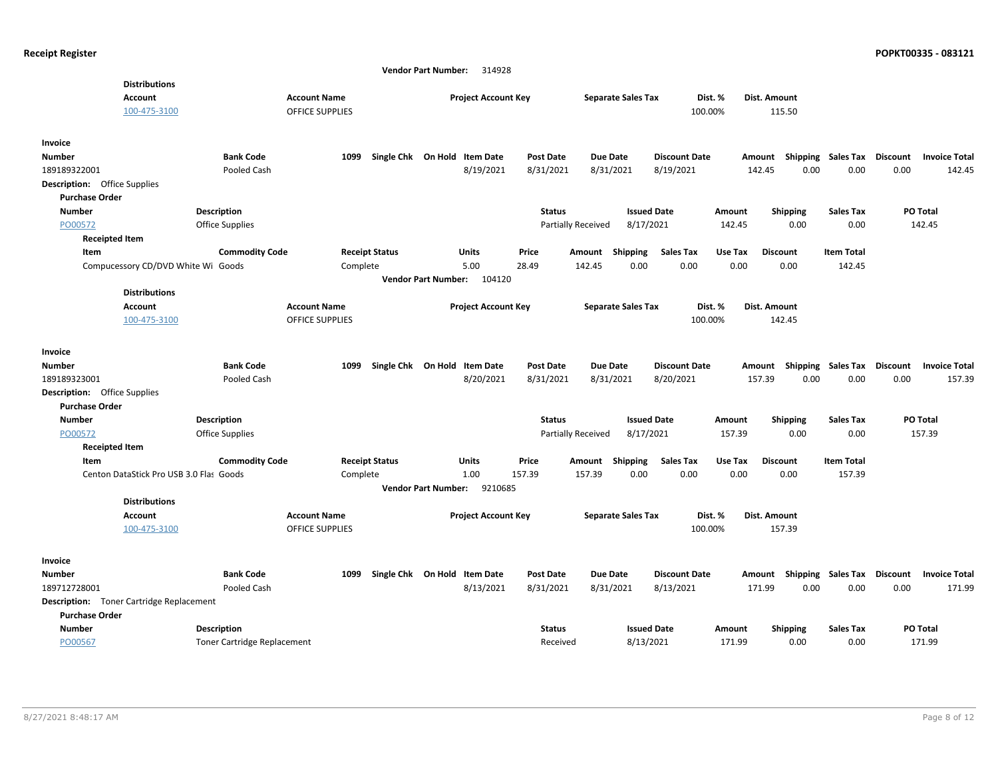|                                                 |                                    |                        | 314928<br><b>Vendor Part Number:</b>  |                  |                           |                                     |         |                    |                   |                                         |
|-------------------------------------------------|------------------------------------|------------------------|---------------------------------------|------------------|---------------------------|-------------------------------------|---------|--------------------|-------------------|-----------------------------------------|
| <b>Distributions</b>                            |                                    |                        |                                       |                  |                           |                                     |         |                    |                   |                                         |
| <b>Account</b>                                  |                                    | <b>Account Name</b>    | <b>Project Account Key</b>            |                  | <b>Separate Sales Tax</b> |                                     | Dist. % | Dist. Amount       |                   |                                         |
| 100-475-3100                                    |                                    | <b>OFFICE SUPPLIES</b> |                                       |                  |                           |                                     | 100.00% | 115.50             |                   |                                         |
|                                                 |                                    |                        |                                       |                  |                           |                                     |         |                    |                   |                                         |
| Invoice                                         |                                    |                        |                                       |                  |                           |                                     |         |                    |                   |                                         |
| <b>Number</b>                                   | <b>Bank Code</b>                   | 1099                   | Single Chk On Hold Item Date          | <b>Post Date</b> | <b>Due Date</b>           | <b>Discount Date</b>                |         | Shipping<br>Amount | Sales Tax         | <b>Discount</b><br><b>Invoice Total</b> |
| 189189322001                                    | Pooled Cash                        |                        | 8/19/2021                             | 8/31/2021        | 8/31/2021                 | 8/19/2021                           |         | 142.45<br>0.00     | 0.00              | 0.00<br>142.45                          |
| <b>Description:</b> Office Supplies             |                                    |                        |                                       |                  |                           |                                     |         |                    |                   |                                         |
| <b>Purchase Order</b>                           |                                    |                        |                                       |                  |                           |                                     |         |                    |                   |                                         |
| <b>Number</b>                                   | <b>Description</b>                 |                        |                                       | <b>Status</b>    |                           | <b>Issued Date</b>                  | Amount  | Shipping           | <b>Sales Tax</b>  | PO Total                                |
| PO00572                                         | <b>Office Supplies</b>             |                        |                                       |                  | Partially Received        | 8/17/2021                           | 142.45  | 0.00               | 0.00              | 142.45                                  |
| <b>Receipted Item</b>                           |                                    |                        |                                       |                  |                           |                                     |         |                    |                   |                                         |
| Item                                            | <b>Commodity Code</b>              | <b>Receipt Status</b>  | Units                                 | Price            | Amount                    | <b>Sales Tax</b><br><b>Shipping</b> | Use Tax | <b>Discount</b>    | <b>Item Total</b> |                                         |
| Compucessory CD/DVD White Wi Goods              |                                    | Complete               | 5.00                                  | 28.49            | 142.45                    | 0.00<br>0.00                        | 0.00    | 0.00               | 142.45            |                                         |
|                                                 |                                    |                        | <b>Vendor Part Number:</b><br>104120  |                  |                           |                                     |         |                    |                   |                                         |
| <b>Distributions</b>                            |                                    |                        |                                       |                  |                           |                                     |         |                    |                   |                                         |
| <b>Account</b>                                  |                                    | <b>Account Name</b>    | <b>Project Account Key</b>            |                  | <b>Separate Sales Tax</b> |                                     | Dist. % | Dist. Amount       |                   |                                         |
| 100-475-3100                                    |                                    | <b>OFFICE SUPPLIES</b> |                                       |                  |                           |                                     | 100.00% | 142.45             |                   |                                         |
|                                                 |                                    |                        |                                       |                  |                           |                                     |         |                    |                   |                                         |
| Invoice                                         |                                    |                        |                                       |                  |                           |                                     |         |                    |                   |                                         |
| <b>Number</b>                                   | <b>Bank Code</b>                   | Single Chk<br>1099     | On Hold<br><b>Item Date</b>           | <b>Post Date</b> | <b>Due Date</b>           | <b>Discount Date</b>                |         | Shipping<br>Amount | Sales Tax         | Discount<br><b>Invoice Total</b>        |
| 189189323001                                    | Pooled Cash                        |                        | 8/20/2021                             | 8/31/2021        | 8/31/2021                 | 8/20/2021                           |         | 157.39<br>0.00     | 0.00              | 0.00<br>157.39                          |
| <b>Description:</b> Office Supplies             |                                    |                        |                                       |                  |                           |                                     |         |                    |                   |                                         |
| <b>Purchase Order</b>                           |                                    |                        |                                       |                  |                           |                                     |         |                    |                   |                                         |
| <b>Number</b>                                   | <b>Description</b>                 |                        |                                       | <b>Status</b>    |                           | <b>Issued Date</b>                  | Amount  | <b>Shipping</b>    | <b>Sales Tax</b>  | PO Total                                |
| PO00572                                         | <b>Office Supplies</b>             |                        |                                       |                  | Partially Received        | 8/17/2021                           | 157.39  | 0.00               | 0.00              | 157.39                                  |
| <b>Receipted Item</b>                           |                                    |                        |                                       |                  |                           |                                     |         |                    |                   |                                         |
| Item                                            | <b>Commodity Code</b>              | <b>Receipt Status</b>  | Units                                 | Price            | Amount                    | Shipping<br><b>Sales Tax</b>        | Use Tax | <b>Discount</b>    | <b>Item Total</b> |                                         |
| Centon DataStick Pro USB 3.0 Flas Goods         |                                    | Complete               | 1.00                                  | 157.39           | 157.39                    | 0.00<br>0.00                        | 0.00    | 0.00               | 157.39            |                                         |
|                                                 |                                    |                        | 9210685<br><b>Vendor Part Number:</b> |                  |                           |                                     |         |                    |                   |                                         |
| <b>Distributions</b>                            |                                    |                        |                                       |                  |                           |                                     |         |                    |                   |                                         |
| <b>Account</b>                                  |                                    | <b>Account Name</b>    | <b>Project Account Key</b>            |                  | <b>Separate Sales Tax</b> |                                     | Dist. % | Dist. Amount       |                   |                                         |
| 100-475-3100                                    |                                    | <b>OFFICE SUPPLIES</b> |                                       |                  |                           |                                     | 100.00% | 157.39             |                   |                                         |
|                                                 |                                    |                        |                                       |                  |                           |                                     |         |                    |                   |                                         |
| Invoice                                         |                                    |                        |                                       |                  |                           |                                     |         |                    |                   |                                         |
| <b>Number</b>                                   | <b>Bank Code</b>                   | 1099                   | Single Chk On Hold Item Date          | <b>Post Date</b> | <b>Due Date</b>           | <b>Discount Date</b>                |         | Amount Shipping    | <b>Sales Tax</b>  | <b>Discount</b><br><b>Invoice Total</b> |
| 189712728001                                    | Pooled Cash                        |                        | 8/13/2021                             | 8/31/2021        | 8/31/2021                 | 8/13/2021                           |         | 171.99<br>0.00     | 0.00              | 0.00<br>171.99                          |
| <b>Description:</b> Toner Cartridge Replacement |                                    |                        |                                       |                  |                           |                                     |         |                    |                   |                                         |
| <b>Purchase Order</b>                           |                                    |                        |                                       |                  |                           |                                     |         |                    |                   |                                         |
| Number                                          | <b>Description</b>                 |                        |                                       | <b>Status</b>    |                           | <b>Issued Date</b>                  | Amount  | Shipping           | <b>Sales Tax</b>  | PO Total                                |
| PO00567                                         | <b>Toner Cartridge Replacement</b> |                        |                                       | Received         |                           | 8/13/2021                           | 171.99  | 0.00               | 0.00              | 171.99                                  |
|                                                 |                                    |                        |                                       |                  |                           |                                     |         |                    |                   |                                         |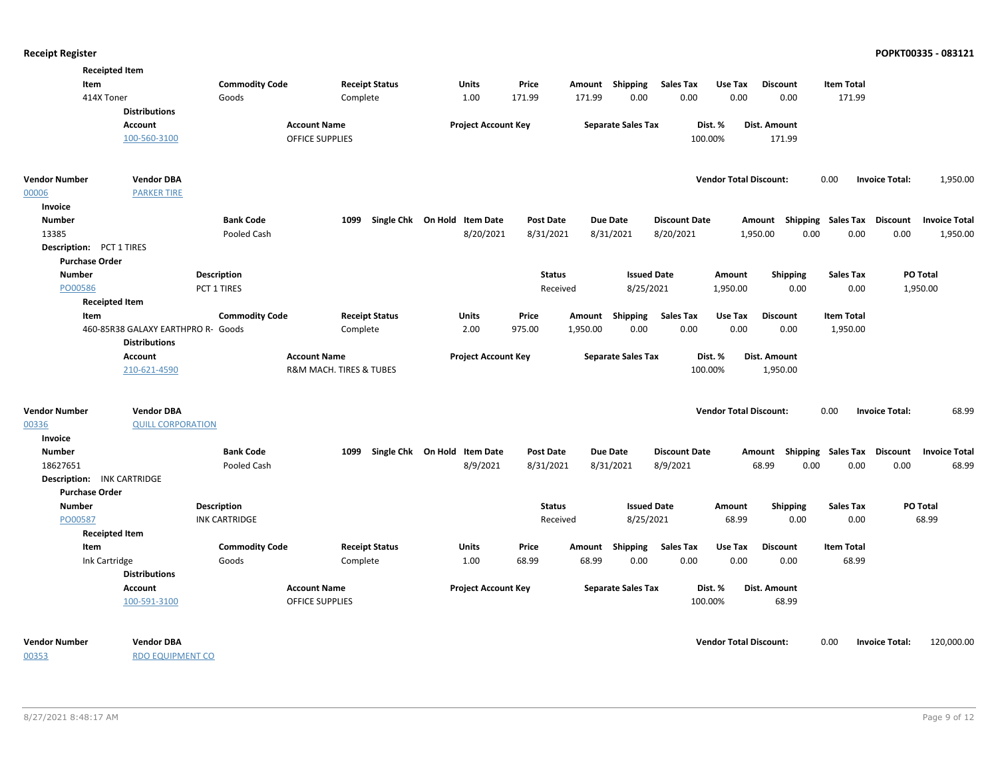| Item                                              | <b>Receipted Item</b>                 | <b>Commodity Code</b> | <b>Receipt Status</b>                         | <b>Units</b>                 | Price            | Amount Shipping |                           | Sales Tax            | Use Tax                       | <b>Discount</b>       | <b>Item Total</b>           |                                         |
|---------------------------------------------------|---------------------------------------|-----------------------|-----------------------------------------------|------------------------------|------------------|-----------------|---------------------------|----------------------|-------------------------------|-----------------------|-----------------------------|-----------------------------------------|
|                                                   | 414X Toner<br><b>Distributions</b>    | Goods                 | Complete                                      | 1.00                         | 171.99           | 171.99          | 0.00                      | 0.00                 | 0.00                          | 0.00                  | 171.99                      |                                         |
|                                                   | Account                               |                       | <b>Account Name</b>                           | <b>Project Account Key</b>   |                  |                 | <b>Separate Sales Tax</b> |                      | Dist. %                       | Dist. Amount          |                             |                                         |
|                                                   | 100-560-3100                          |                       | <b>OFFICE SUPPLIES</b>                        |                              |                  |                 |                           | 100.00%              |                               | 171.99                |                             |                                         |
| <b>Vendor Number</b>                              | <b>Vendor DBA</b>                     |                       |                                               |                              |                  |                 |                           |                      | <b>Vendor Total Discount:</b> |                       | 0.00                        | <b>Invoice Total:</b><br>1,950.00       |
| 00006                                             | <b>PARKER TIRE</b>                    |                       |                                               |                              |                  |                 |                           |                      |                               |                       |                             |                                         |
| Invoice                                           |                                       |                       |                                               |                              |                  |                 |                           |                      |                               |                       |                             |                                         |
| <b>Number</b>                                     |                                       | <b>Bank Code</b>      | 1099                                          | Single Chk On Hold Item Date | <b>Post Date</b> | <b>Due Date</b> |                           | <b>Discount Date</b> |                               | Amount                | <b>Shipping Sales Tax</b>   | <b>Discount</b><br><b>Invoice Total</b> |
| 13385                                             |                                       | Pooled Cash           |                                               | 8/20/2021                    | 8/31/2021        | 8/31/2021       |                           | 8/20/2021            |                               | 1,950.00<br>0.00      | 0.00                        | 0.00<br>1,950.00                        |
| Description: PCT 1 TIRES<br><b>Purchase Order</b> |                                       |                       |                                               |                              |                  |                 |                           |                      |                               |                       |                             |                                         |
| <b>Number</b>                                     |                                       | <b>Description</b>    |                                               |                              | <b>Status</b>    |                 | <b>Issued Date</b>        |                      | Amount                        | <b>Shipping</b>       | <b>Sales Tax</b>            | PO Total                                |
| PO00586                                           |                                       | PCT 1 TIRES           |                                               |                              | Received         |                 | 8/25/2021                 |                      | 1,950.00                      | 0.00                  | 0.00                        | 1,950.00                                |
|                                                   | <b>Receipted Item</b>                 |                       |                                               |                              |                  |                 |                           |                      |                               |                       |                             |                                         |
| Item                                              |                                       | <b>Commodity Code</b> | <b>Receipt Status</b>                         | Units                        | Price            | Amount          | <b>Shipping</b>           | <b>Sales Tax</b>     | Use Tax                       | <b>Discount</b>       | <b>Item Total</b>           |                                         |
|                                                   | 460-85R38 GALAXY EARTHPRO R- Goods    |                       | Complete                                      | 2.00                         | 975.00           | 1,950.00        | 0.00                      | 0.00                 | 0.00                          | 0.00                  | 1,950.00                    |                                         |
|                                                   | <b>Distributions</b>                  |                       |                                               |                              |                  |                 |                           |                      |                               |                       |                             |                                         |
|                                                   | <b>Account</b>                        |                       | <b>Account Name</b>                           | <b>Project Account Key</b>   |                  |                 | <b>Separate Sales Tax</b> |                      | Dist. %                       | Dist. Amount          |                             |                                         |
|                                                   | 210-621-4590                          |                       | R&M MACH. TIRES & TUBES                       |                              |                  |                 |                           | 100.00%              |                               | 1,950.00              |                             |                                         |
| <b>Vendor Number</b>                              | <b>Vendor DBA</b>                     |                       |                                               |                              |                  |                 |                           |                      | <b>Vendor Total Discount:</b> |                       | 0.00                        | <b>Invoice Total:</b><br>68.99          |
| 00336                                             | <b>QUILL CORPORATION</b>              |                       |                                               |                              |                  |                 |                           |                      |                               |                       |                             |                                         |
| Invoice                                           |                                       |                       |                                               |                              |                  |                 |                           |                      |                               |                       |                             |                                         |
| <b>Number</b>                                     |                                       | <b>Bank Code</b>      | 1099                                          | Single Chk On Hold Item Date | <b>Post Date</b> | <b>Due Date</b> |                           | <b>Discount Date</b> |                               | Amount                | Shipping Sales Tax Discount | <b>Invoice Total</b>                    |
| 18627651                                          |                                       | Pooled Cash           |                                               | 8/9/2021                     | 8/31/2021        | 8/31/2021       |                           | 8/9/2021             |                               | 68.99<br>0.00         | 0.00                        | 0.00<br>68.99                           |
| Description: INK CARTRIDGE                        |                                       |                       |                                               |                              |                  |                 |                           |                      |                               |                       |                             |                                         |
| <b>Purchase Order</b>                             |                                       |                       |                                               |                              |                  |                 |                           |                      |                               |                       |                             |                                         |
| <b>Number</b>                                     |                                       | <b>Description</b>    |                                               |                              | <b>Status</b>    |                 | <b>Issued Date</b>        |                      | Amount                        | <b>Shipping</b>       | <b>Sales Tax</b>            | PO Total                                |
| PO00587                                           |                                       | <b>INK CARTRIDGE</b>  |                                               |                              | Received         |                 | 8/25/2021                 |                      | 68.99                         | 0.00                  | 0.00                        | 68.99                                   |
|                                                   | <b>Receipted Item</b>                 |                       |                                               |                              |                  |                 |                           |                      |                               |                       |                             |                                         |
| Item                                              |                                       | <b>Commodity Code</b> | <b>Receipt Status</b>                         | Units                        | Price            | Amount Shipping |                           | Sales Tax            | Use Tax                       | <b>Discount</b>       | <b>Item Total</b>           |                                         |
|                                                   | Ink Cartridge<br><b>Distributions</b> | Goods                 | Complete                                      | 1.00                         | 68.99            | 68.99           | 0.00                      | 0.00                 | 0.00                          | 0.00                  | 68.99                       |                                         |
|                                                   | Account<br>100-591-3100               |                       | <b>Account Name</b><br><b>OFFICE SUPPLIES</b> | <b>Project Account Key</b>   |                  |                 | <b>Separate Sales Tax</b> | 100.00%              | Dist. %                       | Dist. Amount<br>68.99 |                             |                                         |
| <b>Vendor Number</b>                              | <b>Vendor DBA</b>                     |                       |                                               |                              |                  |                 |                           |                      | <b>Vendor Total Discount:</b> |                       | 0.00                        | <b>Invoice Total:</b><br>120,000.00     |

00353

RDO EQUIPMENT CO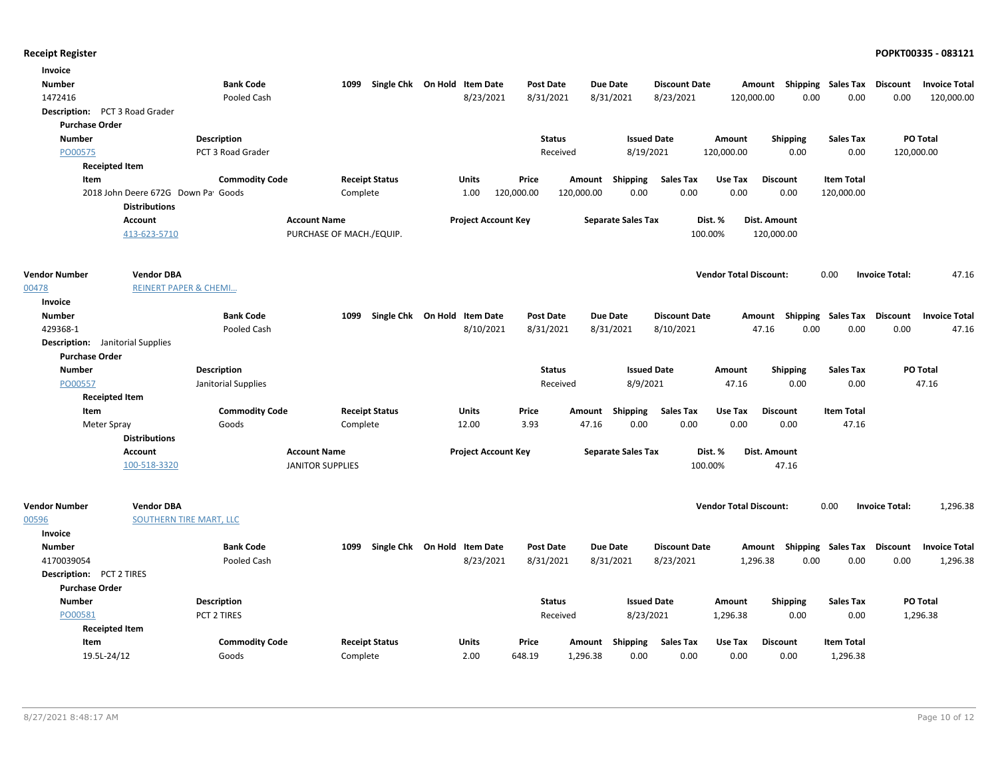| Invoice                                 |                                                            |                       |                          |                              |                  |                           |                                |                           |                   |                                         |
|-----------------------------------------|------------------------------------------------------------|-----------------------|--------------------------|------------------------------|------------------|---------------------------|--------------------------------|---------------------------|-------------------|-----------------------------------------|
| Number                                  |                                                            | <b>Bank Code</b>      | 1099                     | Single Chk On Hold Item Date | <b>Post Date</b> | <b>Due Date</b>           | <b>Discount Date</b>           | Amount Shipping Sales Tax |                   | Discount<br><b>Invoice Total</b>        |
| 1472416                                 |                                                            | Pooled Cash           |                          | 8/23/2021                    | 8/31/2021        | 8/31/2021<br>8/23/2021    | 120,000.00                     | 0.00                      | 0.00              | 0.00<br>120,000.00                      |
| Description: PCT 3 Road Grader          |                                                            |                       |                          |                              |                  |                           |                                |                           |                   |                                         |
| <b>Purchase Order</b>                   |                                                            |                       |                          |                              |                  |                           |                                |                           |                   |                                         |
| Number                                  |                                                            | Description           |                          |                              | <b>Status</b>    | <b>Issued Date</b>        | Amount                         | <b>Shipping</b>           | <b>Sales Tax</b>  | PO Total                                |
| PO00575                                 |                                                            | PCT 3 Road Grader     |                          |                              | Received         | 8/19/2021                 | 120,000.00                     | 0.00                      | 0.00              | 120,000.00                              |
|                                         | <b>Receipted Item</b>                                      |                       |                          |                              |                  |                           |                                |                           |                   |                                         |
| Item                                    |                                                            | <b>Commodity Code</b> | <b>Receipt Status</b>    | Units                        | Price            | Shipping<br>Amount        | <b>Sales Tax</b><br>Use Tax    | <b>Discount</b>           | <b>Item Total</b> |                                         |
|                                         | 2018 John Deere 672G Down Pa Goods<br><b>Distributions</b> |                       | Complete                 | 1.00                         | 120,000.00       | 0.00<br>120,000.00        | 0.00<br>0.00                   | 0.00                      | 120,000.00        |                                         |
|                                         | <b>Account</b>                                             |                       | <b>Account Name</b>      | <b>Project Account Key</b>   |                  | <b>Separate Sales Tax</b> | Dist. %                        | Dist. Amount              |                   |                                         |
|                                         | 413-623-5710                                               |                       | PURCHASE OF MACH./EQUIP. |                              |                  |                           | 100.00%                        | 120,000.00                |                   |                                         |
|                                         |                                                            |                       |                          |                              |                  |                           |                                |                           |                   |                                         |
| <b>Vendor Number</b>                    | <b>Vendor DBA</b>                                          |                       |                          |                              |                  |                           | <b>Vendor Total Discount:</b>  |                           | 0.00              | <b>Invoice Total:</b><br>47.16          |
| 00478                                   | <b>REINERT PAPER &amp; CHEMI</b>                           |                       |                          |                              |                  |                           |                                |                           |                   |                                         |
| Invoice<br><b>Number</b>                |                                                            | <b>Bank Code</b>      | 1099                     | Single Chk On Hold Item Date | <b>Post Date</b> | <b>Due Date</b>           | <b>Discount Date</b>           | Amount Shipping Sales Tax |                   | <b>Discount</b><br><b>Invoice Total</b> |
| 429368-1                                |                                                            | Pooled Cash           |                          | 8/10/2021                    | 8/31/2021        | 8/31/2021<br>8/10/2021    |                                | 47.16<br>0.00             | 0.00              | 0.00<br>47.16                           |
| <b>Description:</b> Janitorial Supplies |                                                            |                       |                          |                              |                  |                           |                                |                           |                   |                                         |
| <b>Purchase Order</b>                   |                                                            |                       |                          |                              |                  |                           |                                |                           |                   |                                         |
| <b>Number</b>                           |                                                            | <b>Description</b>    |                          |                              | <b>Status</b>    | <b>Issued Date</b>        | Amount                         | <b>Shipping</b>           | Sales Tax         | PO Total                                |
| PO00557                                 |                                                            | Janitorial Supplies   |                          |                              | Received         | 8/9/2021                  | 47.16                          | 0.00                      | 0.00              | 47.16                                   |
|                                         | <b>Receipted Item</b>                                      |                       |                          |                              |                  |                           |                                |                           |                   |                                         |
| Item                                    |                                                            | <b>Commodity Code</b> | <b>Receipt Status</b>    | Units                        | Price            | Amount Shipping           | Sales Tax<br>Use Tax           | <b>Discount</b>           | <b>Item Total</b> |                                         |
| Meter Spray                             |                                                            | Goods                 | Complete                 | 12.00                        | 3.93             | 0.00<br>47.16             | 0.00<br>0.00                   | 0.00                      | 47.16             |                                         |
|                                         | <b>Distributions</b>                                       |                       |                          |                              |                  |                           |                                |                           |                   |                                         |
|                                         | Account                                                    |                       | <b>Account Name</b>      | <b>Project Account Key</b>   |                  | <b>Separate Sales Tax</b> | Dist. %                        | <b>Dist. Amount</b>       |                   |                                         |
|                                         | 100-518-3320                                               |                       | <b>JANITOR SUPPLIES</b>  |                              |                  |                           | 100.00%                        | 47.16                     |                   |                                         |
| <b>Vendor Number</b>                    | <b>Vendor DBA</b>                                          |                       |                          |                              |                  |                           | <b>Vendor Total Discount:</b>  |                           | 0.00              | <b>Invoice Total:</b><br>1,296.38       |
| 00596                                   | <b>SOUTHERN TIRE MART, LLC</b>                             |                       |                          |                              |                  |                           |                                |                           |                   |                                         |
| Invoice                                 |                                                            |                       |                          |                              |                  |                           |                                |                           |                   |                                         |
| <b>Number</b>                           |                                                            | <b>Bank Code</b>      | 1099                     | Single Chk On Hold Item Date | <b>Post Date</b> | <b>Due Date</b>           | <b>Discount Date</b><br>Amount | Shipping                  | Sales Tax         | <b>Discount</b><br><b>Invoice Total</b> |
| 4170039054                              |                                                            | Pooled Cash           |                          | 8/23/2021                    | 8/31/2021        | 8/31/2021<br>8/23/2021    | 1,296.38                       | 0.00                      | 0.00              | 0.00<br>1,296.38                        |
| Description: PCT 2 TIRES                |                                                            |                       |                          |                              |                  |                           |                                |                           |                   |                                         |
| <b>Purchase Order</b>                   |                                                            |                       |                          |                              |                  |                           |                                |                           |                   |                                         |
| <b>Number</b>                           |                                                            | Description           |                          |                              | <b>Status</b>    | <b>Issued Date</b>        | Amount                         | <b>Shipping</b>           | <b>Sales Tax</b>  | PO Total                                |
| PO00581                                 |                                                            | PCT 2 TIRES           |                          |                              | Received         | 8/23/2021                 | 1,296.38                       | 0.00                      | 0.00              | 1,296.38                                |
|                                         | <b>Receipted Item</b>                                      |                       |                          |                              |                  |                           |                                |                           |                   |                                         |
| Item                                    |                                                            | <b>Commodity Code</b> | <b>Receipt Status</b>    | Units                        | Price            | Amount<br>Shipping        | Sales Tax<br>Use Tax           | <b>Discount</b>           | <b>Item Total</b> |                                         |
| 19.5L-24/12                             |                                                            | Goods                 | Complete                 | 2.00                         | 648.19           | 1,296.38<br>0.00          | 0.00<br>0.00                   | 0.00                      | 1,296.38          |                                         |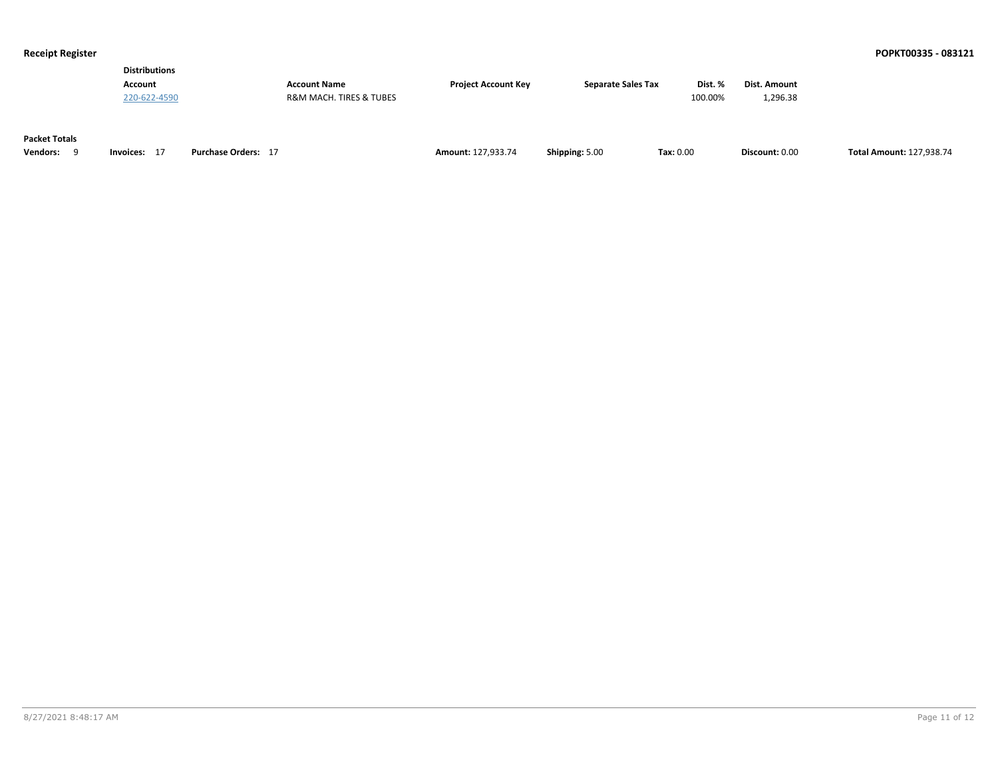| Dist. %<br><b>Separate Sales Tax</b><br><b>Account Name</b><br><b>Project Account Kev</b><br>Account |              |         |  |                                        |              |
|------------------------------------------------------------------------------------------------------|--------------|---------|--|----------------------------------------|--------------|
|                                                                                                      | Dist. Amount |         |  |                                        |              |
|                                                                                                      | 1.296.38     | 100.00% |  | <b>R&amp;M MACH. TIRES &amp; TUBES</b> | 220-622-4590 |

### **Packet Totals**

| Vendors: | Invoices: | <b>Purchase Orders:</b> | $\sim$ $\sim$ $\sim$ $\sim$ $\sim$ $\sim$<br><b>Amount: 127.933.74</b> | Shipping: 5.00 | $\textsf{Tax}: 0.00$ | Discount: 0.00 | <b>Total Amount: 127.938.74</b> |
|----------|-----------|-------------------------|------------------------------------------------------------------------|----------------|----------------------|----------------|---------------------------------|
|----------|-----------|-------------------------|------------------------------------------------------------------------|----------------|----------------------|----------------|---------------------------------|